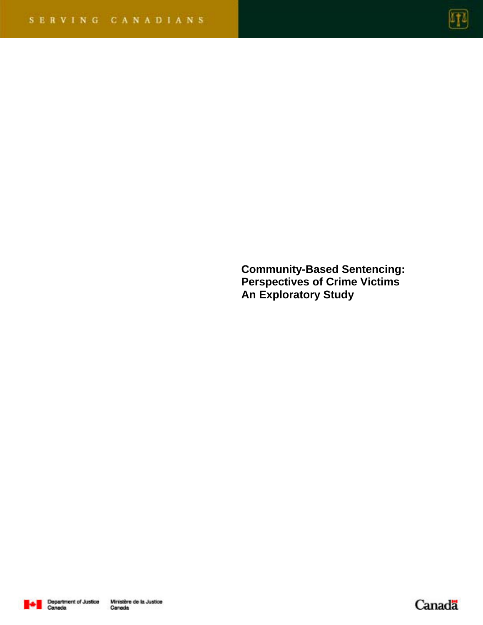

**Community-Based Sentencing: Perspectives of Crime Victims An Exploratory Study** 



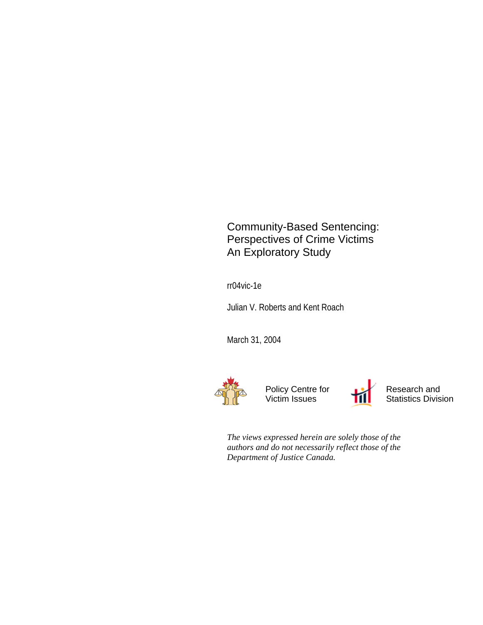Community-Based Sentencing: Perspectives of Crime Victims An Exploratory Study

rr04vic-1e

Julian V. Roberts and Kent Roach

March 31, 2004



Policy Centre for Victim Issues



Research and Statistics Division

*The views expressed herein are solely those of the authors and do not necessarily reflect those of the Department of Justice Canada.*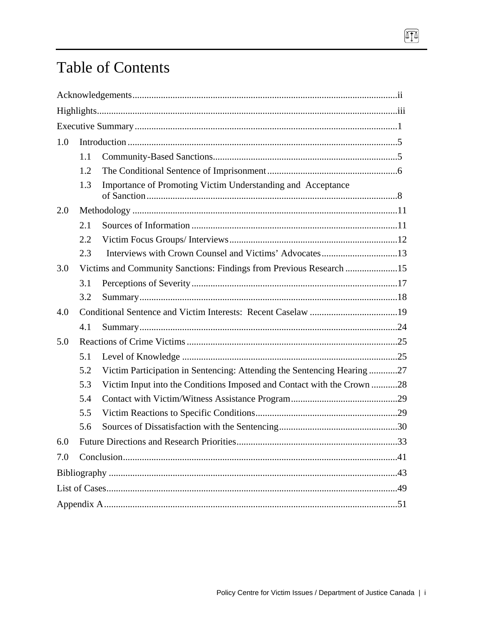# **Table of Contents**

| 1.0 |                                                                     |                                                                         |  |  |  |  |
|-----|---------------------------------------------------------------------|-------------------------------------------------------------------------|--|--|--|--|
|     | 1.1                                                                 |                                                                         |  |  |  |  |
|     | 1.2                                                                 |                                                                         |  |  |  |  |
|     | 1.3                                                                 | Importance of Promoting Victim Understanding and Acceptance             |  |  |  |  |
| 2.0 |                                                                     |                                                                         |  |  |  |  |
|     | 2.1                                                                 |                                                                         |  |  |  |  |
|     | 2.2                                                                 |                                                                         |  |  |  |  |
|     | 2.3                                                                 | Interviews with Crown Counsel and Victims' Advocates13                  |  |  |  |  |
| 3.0 | Victims and Community Sanctions: Findings from Previous Research 15 |                                                                         |  |  |  |  |
|     | 3.1                                                                 |                                                                         |  |  |  |  |
|     | 3.2                                                                 |                                                                         |  |  |  |  |
| 4.0 |                                                                     |                                                                         |  |  |  |  |
|     | 4.1                                                                 |                                                                         |  |  |  |  |
| 5.0 |                                                                     |                                                                         |  |  |  |  |
|     | 5.1                                                                 |                                                                         |  |  |  |  |
|     | 5.2                                                                 | Victim Participation in Sentencing: Attending the Sentencing Hearing 27 |  |  |  |  |
|     | 5.3                                                                 | Victim Input into the Conditions Imposed and Contact with the Crown 28  |  |  |  |  |
|     | 5.4                                                                 |                                                                         |  |  |  |  |
|     | 5.5                                                                 |                                                                         |  |  |  |  |
|     | 5.6                                                                 |                                                                         |  |  |  |  |
| 6.0 |                                                                     |                                                                         |  |  |  |  |
| 7.0 |                                                                     |                                                                         |  |  |  |  |
|     |                                                                     |                                                                         |  |  |  |  |
|     |                                                                     |                                                                         |  |  |  |  |
|     |                                                                     |                                                                         |  |  |  |  |

T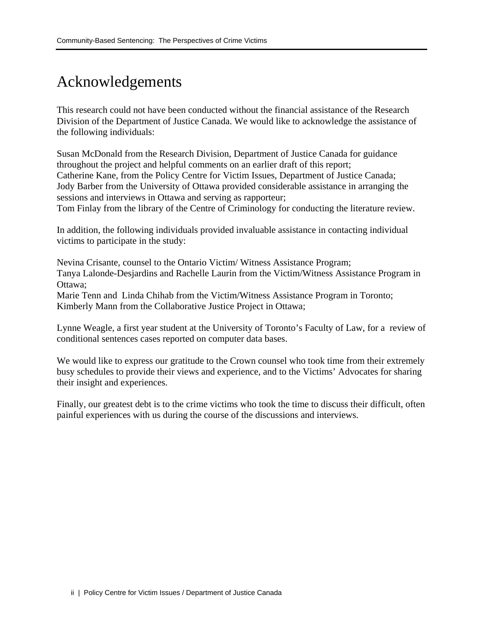## Acknowledgements

This research could not have been conducted without the financial assistance of the Research Division of the Department of Justice Canada. We would like to acknowledge the assistance of the following individuals:

Susan McDonald from the Research Division, Department of Justice Canada for guidance throughout the project and helpful comments on an earlier draft of this report; Catherine Kane, from the Policy Centre for Victim Issues, Department of Justice Canada; Jody Barber from the University of Ottawa provided considerable assistance in arranging the sessions and interviews in Ottawa and serving as rapporteur; Tom Finlay from the library of the Centre of Criminology for conducting the literature review.

In addition, the following individuals provided invaluable assistance in contacting individual victims to participate in the study:

Nevina Crisante, counsel to the Ontario Victim/ Witness Assistance Program; Tanya Lalonde-Desjardins and Rachelle Laurin from the Victim/Witness Assistance Program in Ottawa;

Marie Tenn and Linda Chihab from the Victim/Witness Assistance Program in Toronto; Kimberly Mann from the Collaborative Justice Project in Ottawa;

Lynne Weagle, a first year student at the University of Toronto's Faculty of Law, for a review of conditional sentences cases reported on computer data bases.

We would like to express our gratitude to the Crown counsel who took time from their extremely busy schedules to provide their views and experience, and to the Victims' Advocates for sharing their insight and experiences.

Finally, our greatest debt is to the crime victims who took the time to discuss their difficult, often painful experiences with us during the course of the discussions and interviews.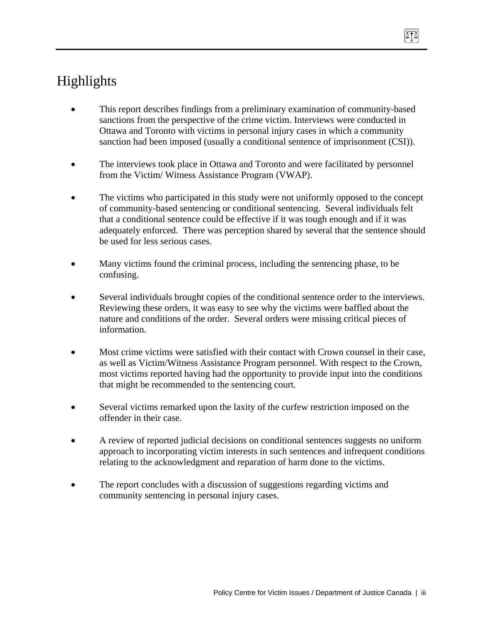## Highlights

- This report describes findings from a preliminary examination of community-based sanctions from the perspective of the crime victim. Interviews were conducted in Ottawa and Toronto with victims in personal injury cases in which a community sanction had been imposed (usually a conditional sentence of imprisonment (CSI)).
- The interviews took place in Ottawa and Toronto and were facilitated by personnel from the Victim/ Witness Assistance Program (VWAP).
- The victims who participated in this study were not uniformly opposed to the concept of community-based sentencing or conditional sentencing. Several individuals felt that a conditional sentence could be effective if it was tough enough and if it was adequately enforced. There was perception shared by several that the sentence should be used for less serious cases.
- Many victims found the criminal process, including the sentencing phase, to be confusing.
- Several individuals brought copies of the conditional sentence order to the interviews. Reviewing these orders, it was easy to see why the victims were baffled about the nature and conditions of the order. Several orders were missing critical pieces of information.
- Most crime victims were satisfied with their contact with Crown counsel in their case, as well as Victim/Witness Assistance Program personnel. With respect to the Crown, most victims reported having had the opportunity to provide input into the conditions that might be recommended to the sentencing court.
- Several victims remarked upon the laxity of the curfew restriction imposed on the offender in their case.
- A review of reported judicial decisions on conditional sentences suggests no uniform approach to incorporating victim interests in such sentences and infrequent conditions relating to the acknowledgment and reparation of harm done to the victims.
- The report concludes with a discussion of suggestions regarding victims and community sentencing in personal injury cases.

ATA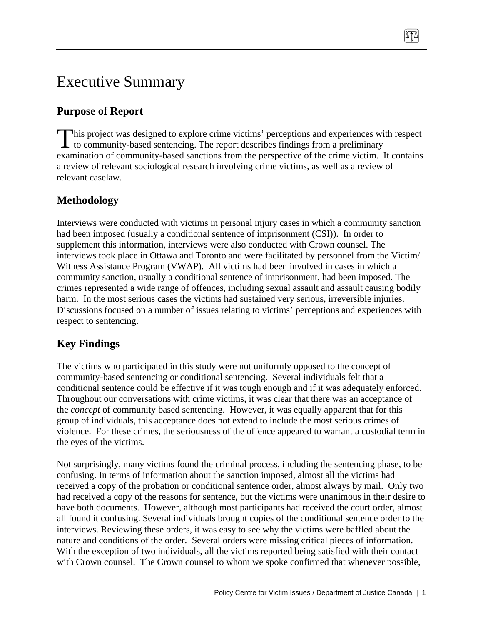# Executive Summary

### **Purpose of Report**

his project was designed to explore crime victims' perceptions and experiences with respect This project was designed to explore crime victims' perceptions and experiences with to community-based sentencing. The report describes findings from a preliminary examination of community-based sanctions from the perspective of the crime victim. It contains a review of relevant sociological research involving crime victims, as well as a review of relevant caselaw.

### **Methodology**

Interviews were conducted with victims in personal injury cases in which a community sanction had been imposed (usually a conditional sentence of imprisonment (CSI)). In order to supplement this information, interviews were also conducted with Crown counsel. The interviews took place in Ottawa and Toronto and were facilitated by personnel from the Victim/ Witness Assistance Program (VWAP). All victims had been involved in cases in which a community sanction, usually a conditional sentence of imprisonment, had been imposed. The crimes represented a wide range of offences, including sexual assault and assault causing bodily harm. In the most serious cases the victims had sustained very serious, irreversible injuries. Discussions focused on a number of issues relating to victims' perceptions and experiences with respect to sentencing.

## **Key Findings**

The victims who participated in this study were not uniformly opposed to the concept of community-based sentencing or conditional sentencing. Several individuals felt that a conditional sentence could be effective if it was tough enough and if it was adequately enforced. Throughout our conversations with crime victims, it was clear that there was an acceptance of the *concept* of community based sentencing. However, it was equally apparent that for this group of individuals, this acceptance does not extend to include the most serious crimes of violence. For these crimes, the seriousness of the offence appeared to warrant a custodial term in the eyes of the victims.

Not surprisingly, many victims found the criminal process, including the sentencing phase, to be confusing. In terms of information about the sanction imposed, almost all the victims had received a copy of the probation or conditional sentence order, almost always by mail. Only two had received a copy of the reasons for sentence, but the victims were unanimous in their desire to have both documents. However, although most participants had received the court order, almost all found it confusing. Several individuals brought copies of the conditional sentence order to the interviews. Reviewing these orders, it was easy to see why the victims were baffled about the nature and conditions of the order. Several orders were missing critical pieces of information. With the exception of two individuals, all the victims reported being satisfied with their contact with Crown counsel. The Crown counsel to whom we spoke confirmed that whenever possible,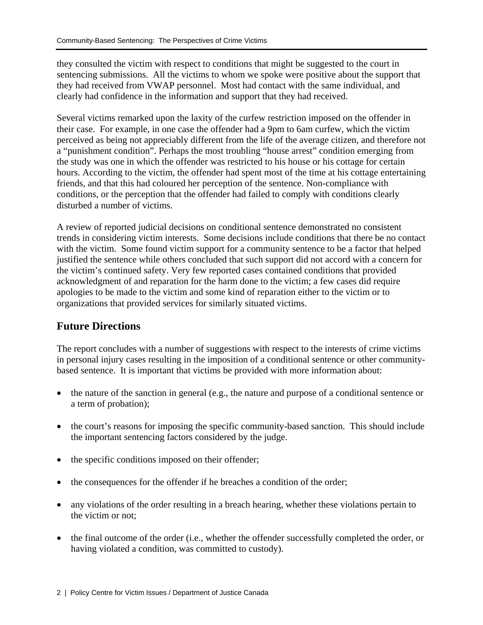they consulted the victim with respect to conditions that might be suggested to the court in sentencing submissions. All the victims to whom we spoke were positive about the support that they had received from VWAP personnel. Most had contact with the same individual, and clearly had confidence in the information and support that they had received.

Several victims remarked upon the laxity of the curfew restriction imposed on the offender in their case. For example, in one case the offender had a 9pm to 6am curfew, which the victim perceived as being not appreciably different from the life of the average citizen, and therefore not a "punishment condition". Perhaps the most troubling "house arrest" condition emerging from the study was one in which the offender was restricted to his house or his cottage for certain hours. According to the victim, the offender had spent most of the time at his cottage entertaining friends, and that this had coloured her perception of the sentence. Non-compliance with conditions, or the perception that the offender had failed to comply with conditions clearly disturbed a number of victims.

A review of reported judicial decisions on conditional sentence demonstrated no consistent trends in considering victim interests. Some decisions include conditions that there be no contact with the victim. Some found victim support for a community sentence to be a factor that helped justified the sentence while others concluded that such support did not accord with a concern for the victim's continued safety. Very few reported cases contained conditions that provided acknowledgment of and reparation for the harm done to the victim; a few cases did require apologies to be made to the victim and some kind of reparation either to the victim or to organizations that provided services for similarly situated victims.

### **Future Directions**

The report concludes with a number of suggestions with respect to the interests of crime victims in personal injury cases resulting in the imposition of a conditional sentence or other communitybased sentence. It is important that victims be provided with more information about:

- the nature of the sanction in general (e.g., the nature and purpose of a conditional sentence or a term of probation);
- the court's reasons for imposing the specific community-based sanction. This should include the important sentencing factors considered by the judge.
- the specific conditions imposed on their offender;
- the consequences for the offender if he breaches a condition of the order;
- any violations of the order resulting in a breach hearing, whether these violations pertain to the victim or not;
- the final outcome of the order (i.e., whether the offender successfully completed the order, or having violated a condition, was committed to custody).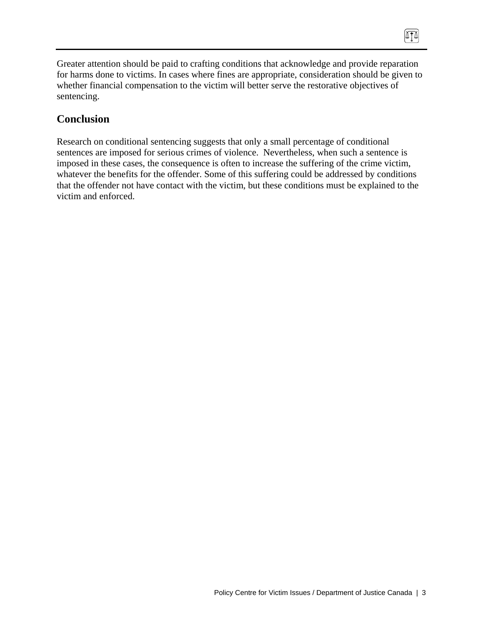Greater attention should be paid to crafting conditions that acknowledge and provide reparation for harms done to victims. In cases where fines are appropriate, consideration should be given to whether financial compensation to the victim will better serve the restorative objectives of sentencing.

 $\sqrt{10}$ 

#### **Conclusion**

Research on conditional sentencing suggests that only a small percentage of conditional sentences are imposed for serious crimes of violence. Nevertheless, when such a sentence is imposed in these cases, the consequence is often to increase the suffering of the crime victim, whatever the benefits for the offender. Some of this suffering could be addressed by conditions that the offender not have contact with the victim, but these conditions must be explained to the victim and enforced.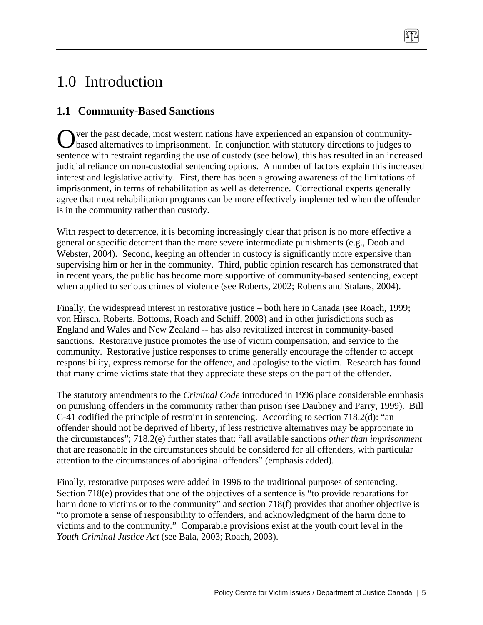# 1.0 Introduction

## **1.1 Community-Based Sanctions**

ver the past decade, most western nations have experienced an expansion of community-Over the past decade, most western nations have experienced an expansion of community-<br>based alternatives to imprisonment. In conjunction with statutory directions to judges to sentence with restraint regarding the use of custody (see below), this has resulted in an increased judicial reliance on non-custodial sentencing options. A number of factors explain this increased interest and legislative activity. First, there has been a growing awareness of the limitations of imprisonment, in terms of rehabilitation as well as deterrence. Correctional experts generally agree that most rehabilitation programs can be more effectively implemented when the offender is in the community rather than custody.

With respect to deterrence, it is becoming increasingly clear that prison is no more effective a general or specific deterrent than the more severe intermediate punishments (e.g., Doob and Webster, 2004). Second, keeping an offender in custody is significantly more expensive than supervising him or her in the community. Third, public opinion research has demonstrated that in recent years, the public has become more supportive of community-based sentencing, except when applied to serious crimes of violence (see Roberts, 2002; Roberts and Stalans, 2004).

Finally, the widespread interest in restorative justice – both here in Canada (see Roach, 1999; von Hirsch, Roberts, Bottoms, Roach and Schiff, 2003) and in other jurisdictions such as England and Wales and New Zealand -- has also revitalized interest in community-based sanctions. Restorative justice promotes the use of victim compensation, and service to the community. Restorative justice responses to crime generally encourage the offender to accept responsibility, express remorse for the offence, and apologise to the victim. Research has found that many crime victims state that they appreciate these steps on the part of the offender.

The statutory amendments to the *Criminal Code* introduced in 1996 place considerable emphasis on punishing offenders in the community rather than prison (see Daubney and Parry, 1999). Bill C-41 codified the principle of restraint in sentencing. According to section 718.2(d): "an offender should not be deprived of liberty, if less restrictive alternatives may be appropriate in the circumstances"; 718.2(e) further states that: "all available sanctions *other than imprisonment* that are reasonable in the circumstances should be considered for all offenders, with particular attention to the circumstances of aboriginal offenders" (emphasis added).

Finally, restorative purposes were added in 1996 to the traditional purposes of sentencing. Section 718(e) provides that one of the objectives of a sentence is "to provide reparations for harm done to victims or to the community" and section 718(f) provides that another objective is "to promote a sense of responsibility to offenders, and acknowledgment of the harm done to victims and to the community." Comparable provisions exist at the youth court level in the *Youth Criminal Justice Act* (see Bala, 2003; Roach, 2003).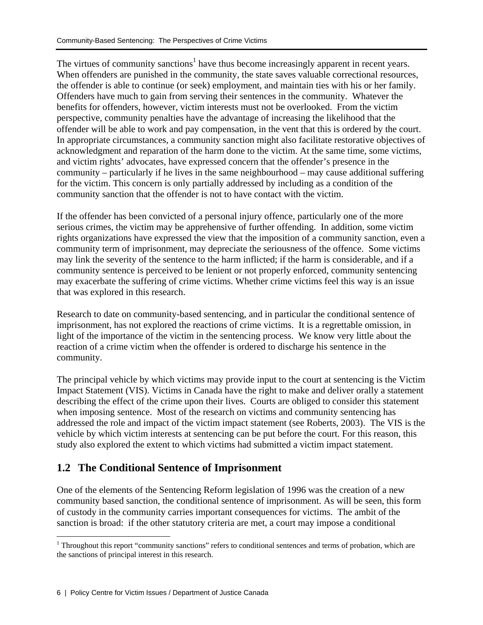The virtues of community sanctions<sup>1</sup> have thus become increasingly apparent in recent years. When offenders are punished in the community, the state saves valuable correctional resources, the offender is able to continue (or seek) employment, and maintain ties with his or her family. Offenders have much to gain from serving their sentences in the community. Whatever the benefits for offenders, however, victim interests must not be overlooked. From the victim perspective, community penalties have the advantage of increasing the likelihood that the offender will be able to work and pay compensation, in the vent that this is ordered by the court. In appropriate circumstances, a community sanction might also facilitate restorative objectives of acknowledgment and reparation of the harm done to the victim. At the same time, some victims, and victim rights' advocates, have expressed concern that the offender's presence in the community – particularly if he lives in the same neighbourhood – may cause additional suffering for the victim. This concern is only partially addressed by including as a condition of the community sanction that the offender is not to have contact with the victim.

If the offender has been convicted of a personal injury offence, particularly one of the more serious crimes, the victim may be apprehensive of further offending. In addition, some victim rights organizations have expressed the view that the imposition of a community sanction, even a community term of imprisonment, may depreciate the seriousness of the offence. Some victims may link the severity of the sentence to the harm inflicted; if the harm is considerable, and if a community sentence is perceived to be lenient or not properly enforced, community sentencing may exacerbate the suffering of crime victims. Whether crime victims feel this way is an issue that was explored in this research.

Research to date on community-based sentencing, and in particular the conditional sentence of imprisonment, has not explored the reactions of crime victims. It is a regrettable omission, in light of the importance of the victim in the sentencing process. We know very little about the reaction of a crime victim when the offender is ordered to discharge his sentence in the community.

The principal vehicle by which victims may provide input to the court at sentencing is the Victim Impact Statement (VIS). Victims in Canada have the right to make and deliver orally a statement describing the effect of the crime upon their lives. Courts are obliged to consider this statement when imposing sentence. Most of the research on victims and community sentencing has addressed the role and impact of the victim impact statement (see Roberts, 2003). The VIS is the vehicle by which victim interests at sentencing can be put before the court. For this reason, this study also explored the extent to which victims had submitted a victim impact statement.

### **1.2 The Conditional Sentence of Imprisonment**

One of the elements of the Sentencing Reform legislation of 1996 was the creation of a new community based sanction, the conditional sentence of imprisonment. As will be seen, this form of custody in the community carries important consequences for victims. The ambit of the sanction is broad: if the other statutory criteria are met, a court may impose a conditional

<sup>&</sup>lt;sup>1</sup> Throughout this report "community sanctions" refers to conditional sentences and terms of probation, which are the sanctions of principal interest in this research.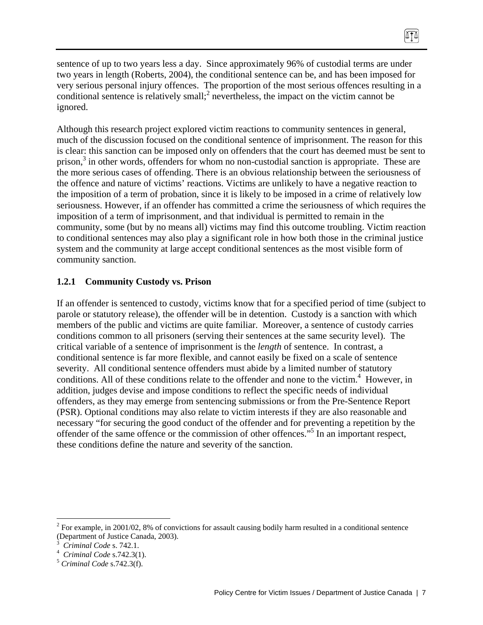sentence of up to two years less a day. Since approximately 96% of custodial terms are under two years in length (Roberts, 2004), the conditional sentence can be, and has been imposed for very serious personal injury offences. The proportion of the most serious offences resulting in a conditional sentence is relatively small;<sup>2</sup> nevertheless, the impact on the victim cannot be ignored.

874

Although this research project explored victim reactions to community sentences in general, much of the discussion focused on the conditional sentence of imprisonment. The reason for this is clear: this sanction can be imposed only on offenders that the court has deemed must be sent to prison,<sup>3</sup> in other words, offenders for whom no non-custodial sanction is appropriate. These are the more serious cases of offending. There is an obvious relationship between the seriousness of the offence and nature of victims' reactions. Victims are unlikely to have a negative reaction to the imposition of a term of probation, since it is likely to be imposed in a crime of relatively low seriousness. However, if an offender has committed a crime the seriousness of which requires the imposition of a term of imprisonment, and that individual is permitted to remain in the community, some (but by no means all) victims may find this outcome troubling. Victim reaction to conditional sentences may also play a significant role in how both those in the criminal justice system and the community at large accept conditional sentences as the most visible form of community sanction.

#### **1.2.1 Community Custody vs. Prison**

If an offender is sentenced to custody, victims know that for a specified period of time (subject to parole or statutory release), the offender will be in detention. Custody is a sanction with which members of the public and victims are quite familiar. Moreover, a sentence of custody carries conditions common to all prisoners (serving their sentences at the same security level). The critical variable of a sentence of imprisonment is the *length* of sentence. In contrast, a conditional sentence is far more flexible, and cannot easily be fixed on a scale of sentence severity. All conditional sentence offenders must abide by a limited number of statutory conditions. All of these conditions relate to the offender and none to the victim.<sup>4</sup> However, in addition, judges devise and impose conditions to reflect the specific needs of individual offenders, as they may emerge from sentencing submissions or from the Pre-Sentence Report (PSR). Optional conditions may also relate to victim interests if they are also reasonable and necessary "for securing the good conduct of the offender and for preventing a repetition by the offender of the same offence or the commission of other offences."5 In an important respect, these conditions define the nature and severity of the sanction.

 $2^2$  For example, in 2001/02, 8% of convictions for assault causing bodily harm resulted in a conditional sentence (Department of Justice Canada, 2003).

<sup>3</sup> *Criminal Code* s. 742.1. 4

*Criminal Code* s.742.3(1). 5 *Criminal Code* s.742.3(f).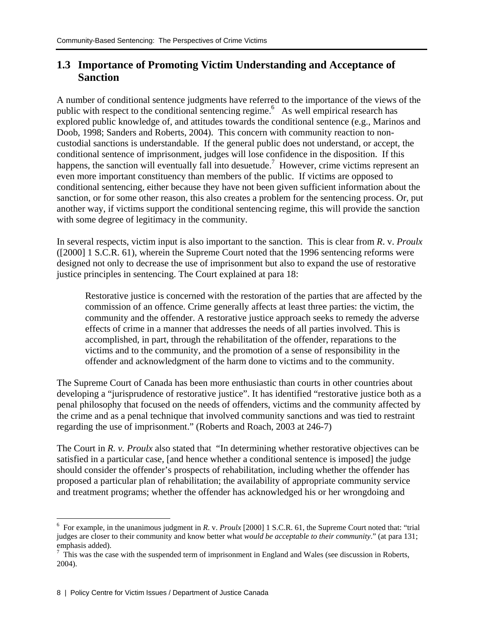### **1.3 Importance of Promoting Victim Understanding and Acceptance of Sanction**

A number of conditional sentence judgments have referred to the importance of the views of the public with respect to the conditional sentencing regime.<sup>6</sup> As well empirical research has explored public knowledge of, and attitudes towards the conditional sentence (e.g., Marinos and Doob, 1998; Sanders and Roberts, 2004). This concern with community reaction to noncustodial sanctions is understandable. If the general public does not understand, or accept, the conditional sentence of imprisonment, judges will lose confidence in the disposition. If this happens, the sanction will eventually fall into desuetude.<sup>7</sup> However, crime victims represent an even more important constituency than members of the public. If victims are opposed to conditional sentencing, either because they have not been given sufficient information about the sanction, or for some other reason, this also creates a problem for the sentencing process. Or, put another way, if victims support the conditional sentencing regime, this will provide the sanction with some degree of legitimacy in the community.

In several respects, victim input is also important to the sanction. This is clear from *R*. v. *Proulx*  ([2000] 1 S.C.R. 61), wherein the Supreme Court noted that the 1996 sentencing reforms were designed not only to decrease the use of imprisonment but also to expand the use of restorative justice principles in sentencing. The Court explained at para 18:

Restorative justice is concerned with the restoration of the parties that are affected by the commission of an offence. Crime generally affects at least three parties: the victim, the community and the offender. A restorative justice approach seeks to remedy the adverse effects of crime in a manner that addresses the needs of all parties involved. This is accomplished, in part, through the rehabilitation of the offender, reparations to the victims and to the community, and the promotion of a sense of responsibility in the offender and acknowledgment of the harm done to victims and to the community.

The Supreme Court of Canada has been more enthusiastic than courts in other countries about developing a "jurisprudence of restorative justice". It has identified "restorative justice both as a penal philosophy that focused on the needs of offenders, victims and the community affected by the crime and as a penal technique that involved community sanctions and was tied to restraint regarding the use of imprisonment." (Roberts and Roach, 2003 at 246-7)

The Court in *R. v. Proulx* also stated that "In determining whether restorative objectives can be satisfied in a particular case, [and hence whether a conditional sentence is imposed] the judge should consider the offender's prospects of rehabilitation, including whether the offender has proposed a particular plan of rehabilitation; the availability of appropriate community service and treatment programs; whether the offender has acknowledged his or her wrongdoing and

<sup>6</sup> For example, in the unanimous judgment in *R*. v. *Proulx* [2000] 1 S.C.R. 61, the Supreme Court noted that: "trial judges are closer to their community and know better what *would be acceptable to their community*." (at para 131; emphasis added).

 $7$  This was the case with the suspended term of imprisonment in England and Wales (see discussion in Roberts, 2004).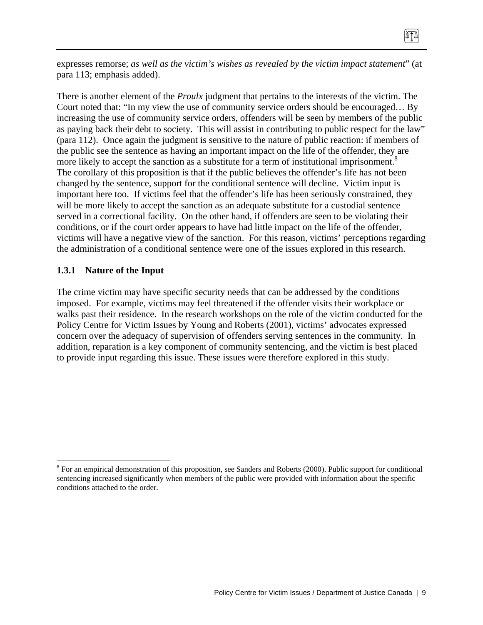expresses remorse; *as well as the victim's wishes as revealed by the victim impact statement*" (at para 113; emphasis added).

There is another element of the *Proulx* judgment that pertains to the interests of the victim. The Court noted that: "In my view the use of community service orders should be encouraged… By increasing the use of community service orders, offenders will be seen by members of the public as paying back their debt to society. This will assist in contributing to public respect for the law" (para 112). Once again the judgment is sensitive to the nature of public reaction: if members of the public see the sentence as having an important impact on the life of the offender, they are more likely to accept the sanction as a substitute for a term of institutional imprisonment.<sup>8</sup> The corollary of this proposition is that if the public believes the offender's life has not been changed by the sentence, support for the conditional sentence will decline. Victim input is important here too. If victims feel that the offender's life has been seriously constrained, they will be more likely to accept the sanction as an adequate substitute for a custodial sentence served in a correctional facility. On the other hand, if offenders are seen to be violating their conditions, or if the court order appears to have had little impact on the life of the offender, victims will have a negative view of the sanction. For this reason, victims' perceptions regarding the administration of a conditional sentence were one of the issues explored in this research.

#### **1.3.1 Nature of the Input**

1

The crime victim may have specific security needs that can be addressed by the conditions imposed. For example, victims may feel threatened if the offender visits their workplace or walks past their residence. In the research workshops on the role of the victim conducted for the Policy Centre for Victim Issues by Young and Roberts (2001), victims' advocates expressed concern over the adequacy of supervision of offenders serving sentences in the community. In addition, reparation is a key component of community sentencing, and the victim is best placed to provide input regarding this issue. These issues were therefore explored in this study.

 $8$  For an empirical demonstration of this proposition, see Sanders and Roberts (2000). Public support for conditional sentencing increased significantly when members of the public were provided with information about the specific conditions attached to the order.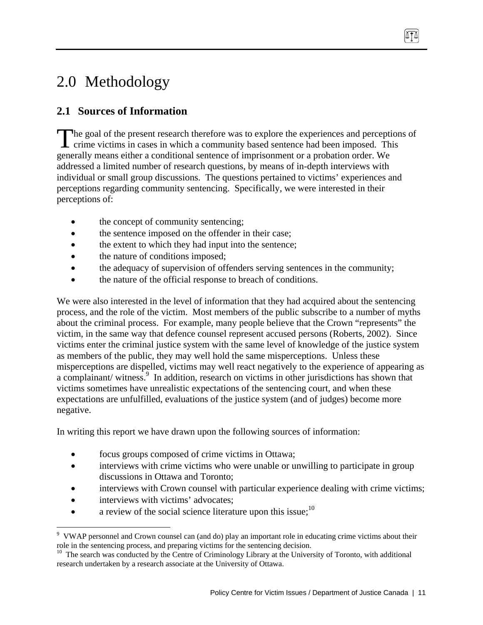# 2.0 Methodology

## **2.1 Sources of Information**

The goal of the present research therefore was to explore the experiences and perceptions of The goal of the present research therefore was to explore the experiences and perception crime victims in cases in which a community based sentence had been imposed. This generally means either a conditional sentence of imprisonment or a probation order. We addressed a limited number of research questions, by means of in-depth interviews with individual or small group discussions. The questions pertained to victims' experiences and perceptions regarding community sentencing. Specifically, we were interested in their perceptions of:

- the concept of community sentencing;
- the sentence imposed on the offender in their case;
- the extent to which they had input into the sentence;
- the nature of conditions imposed;
- the adequacy of supervision of offenders serving sentences in the community;
- the nature of the official response to breach of conditions.

We were also interested in the level of information that they had acquired about the sentencing process, and the role of the victim. Most members of the public subscribe to a number of myths about the criminal process. For example, many people believe that the Crown "represents" the victim, in the same way that defence counsel represent accused persons (Roberts, 2002). Since victims enter the criminal justice system with the same level of knowledge of the justice system as members of the public, they may well hold the same misperceptions. Unless these misperceptions are dispelled, victims may well react negatively to the experience of appearing as a complainant/ witness.<sup>9</sup> In addition, research on victims in other jurisdictions has shown that victims sometimes have unrealistic expectations of the sentencing court, and when these expectations are unfulfilled, evaluations of the justice system (and of judges) become more negative.

In writing this report we have drawn upon the following sources of information:

- focus groups composed of crime victims in Ottawa;
- interviews with crime victims who were unable or unwilling to participate in group discussions in Ottawa and Toronto;
- interviews with Crown counsel with particular experience dealing with crime victims;
- interviews with victims' advocates;

 $\overline{a}$ 

• a review of the social science literature upon this issue;  $10$ 

<sup>&</sup>lt;sup>9</sup> VWAP personnel and Crown counsel can (and do) play an important role in educating crime victims about their role in the sentencing process, and preparing victims for the sentencing decision.  $10$  The search was conducted by the Centre of Criminology Library at the University of Toronto, with additional

research undertaken by a research associate at the University of Ottawa.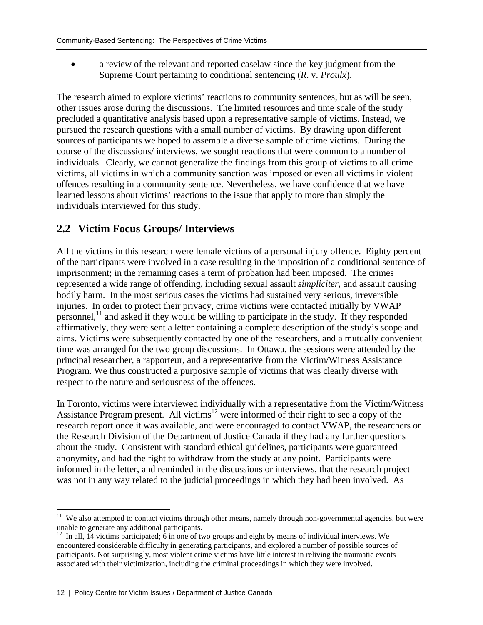• a review of the relevant and reported caselaw since the key judgment from the Supreme Court pertaining to conditional sentencing (*R*. v. *Proulx*).

The research aimed to explore victims' reactions to community sentences, but as will be seen, other issues arose during the discussions. The limited resources and time scale of the study precluded a quantitative analysis based upon a representative sample of victims. Instead, we pursued the research questions with a small number of victims. By drawing upon different sources of participants we hoped to assemble a diverse sample of crime victims. During the course of the discussions/ interviews, we sought reactions that were common to a number of individuals. Clearly, we cannot generalize the findings from this group of victims to all crime victims, all victims in which a community sanction was imposed or even all victims in violent offences resulting in a community sentence. Nevertheless, we have confidence that we have learned lessons about victims' reactions to the issue that apply to more than simply the individuals interviewed for this study.

### **2.2 Victim Focus Groups/ Interviews**

All the victims in this research were female victims of a personal injury offence. Eighty percent of the participants were involved in a case resulting in the imposition of a conditional sentence of imprisonment; in the remaining cases a term of probation had been imposed. The crimes represented a wide range of offending, including sexual assault *simpliciter*, and assault causing bodily harm. In the most serious cases the victims had sustained very serious, irreversible injuries. In order to protect their privacy, crime victims were contacted initially by VWAP personnel,<sup>11</sup> and asked if they would be willing to participate in the study. If they responded affirmatively, they were sent a letter containing a complete description of the study's scope and aims. Victims were subsequently contacted by one of the researchers, and a mutually convenient time was arranged for the two group discussions. In Ottawa, the sessions were attended by the principal researcher, a rapporteur, and a representative from the Victim/Witness Assistance Program. We thus constructed a purposive sample of victims that was clearly diverse with respect to the nature and seriousness of the offences.

In Toronto, victims were interviewed individually with a representative from the Victim/Witness Assistance Program present. All victims<sup>12</sup> were informed of their right to see a copy of the research report once it was available, and were encouraged to contact VWAP, the researchers or the Research Division of the Department of Justice Canada if they had any further questions about the study. Consistent with standard ethical guidelines, participants were guaranteed anonymity, and had the right to withdraw from the study at any point. Participants were informed in the letter, and reminded in the discussions or interviews, that the research project was not in any way related to the judicial proceedings in which they had been involved. As

1

<sup>&</sup>lt;sup>11</sup> We also attempted to contact victims through other means, namely through non-governmental agencies, but were unable to generate any additional participants.

 $12$  In all, 14 victims participated; 6 in one of two groups and eight by means of individual interviews. We encountered considerable difficulty in generating participants, and explored a number of possible sources of participants. Not surprisingly, most violent crime victims have little interest in reliving the traumatic events associated with their victimization, including the criminal proceedings in which they were involved.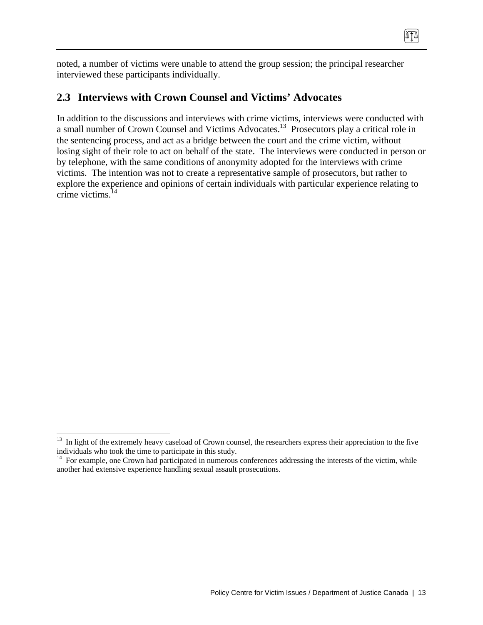ATA

noted, a number of victims were unable to attend the group session; the principal researcher interviewed these participants individually.

## **2.3 Interviews with Crown Counsel and Victims' Advocates**

In addition to the discussions and interviews with crime victims, interviews were conducted with a small number of Crown Counsel and Victims Advocates.13 Prosecutors play a critical role in the sentencing process, and act as a bridge between the court and the crime victim, without losing sight of their role to act on behalf of the state. The interviews were conducted in person or by telephone, with the same conditions of anonymity adopted for the interviews with crime victims. The intention was not to create a representative sample of prosecutors, but rather to explore the experience and opinions of certain individuals with particular experience relating to crime victims.14

 $\overline{a}$ <sup>13</sup> In light of the extremely heavy caseload of Crown counsel, the researchers express their appreciation to the five individuals who took the time to participate in this study.

<sup>&</sup>lt;sup>14</sup> For example, one Crown had participated in numerous conferences addressing the interests of the victim, while another had extensive experience handling sexual assault prosecutions.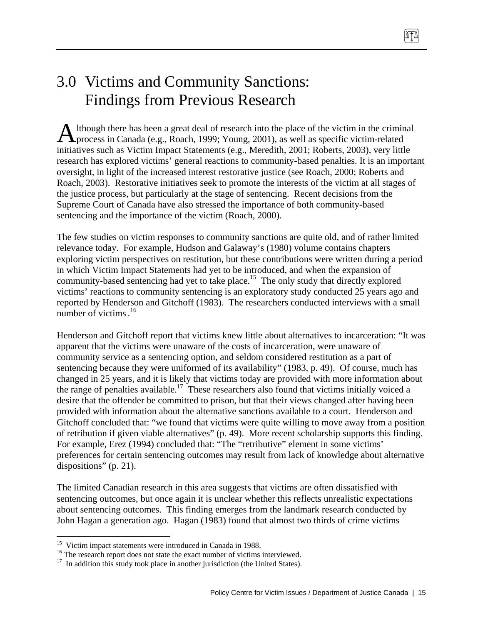# 3.0 Victims and Community Sanctions: Findings from Previous Research

lthough there has been a great deal of research into the place of the victim in the criminal Although there has been a great deal of research into the place of the victim in the crimin process in Canada (e.g., Roach, 1999; Young, 2001), as well as specific victim-related initiatives such as Victim Impact Statements (e.g., Meredith, 2001; Roberts, 2003), very little research has explored victims' general reactions to community-based penalties. It is an important oversight, in light of the increased interest restorative justice (see Roach, 2000; Roberts and Roach, 2003). Restorative initiatives seek to promote the interests of the victim at all stages of the justice process, but particularly at the stage of sentencing. Recent decisions from the Supreme Court of Canada have also stressed the importance of both community-based sentencing and the importance of the victim (Roach, 2000).

The few studies on victim responses to community sanctions are quite old, and of rather limited relevance today. For example, Hudson and Galaway's (1980) volume contains chapters exploring victim perspectives on restitution, but these contributions were written during a period in which Victim Impact Statements had yet to be introduced, and when the expansion of community-based sentencing had yet to take place.<sup>15</sup> The only study that directly explored victims' reactions to community sentencing is an exploratory study conducted 25 years ago and reported by Henderson and Gitchoff (1983). The researchers conducted interviews with a small number of victims.<sup>16</sup>

Henderson and Gitchoff report that victims knew little about alternatives to incarceration: "It was apparent that the victims were unaware of the costs of incarceration, were unaware of community service as a sentencing option, and seldom considered restitution as a part of sentencing because they were uniformed of its availability" (1983, p. 49). Of course, much has changed in 25 years, and it is likely that victims today are provided with more information about the range of penalties available.<sup>17</sup> These researchers also found that victims initially voiced a desire that the offender be committed to prison, but that their views changed after having been provided with information about the alternative sanctions available to a court. Henderson and Gitchoff concluded that: "we found that victims were quite willing to move away from a position of retribution if given viable alternatives" (p. 49). More recent scholarship supports this finding. For example, Erez (1994) concluded that: "The "retributive" element in some victims' preferences for certain sentencing outcomes may result from lack of knowledge about alternative dispositions" (p. 21).

The limited Canadian research in this area suggests that victims are often dissatisfied with sentencing outcomes, but once again it is unclear whether this reflects unrealistic expectations about sentencing outcomes. This finding emerges from the landmark research conducted by John Hagan a generation ago. Hagan (1983) found that almost two thirds of crime victims

<sup>&</sup>lt;sup>15</sup> Victim impact statements were introduced in Canada in 1988.

<sup>&</sup>lt;sup>16</sup> The research report does not state the exact number of victims interviewed.

 $17$  In addition this study took place in another jurisdiction (the United States).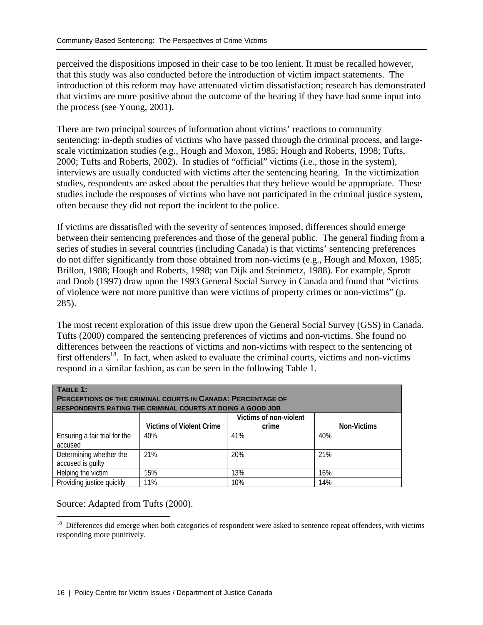perceived the dispositions imposed in their case to be too lenient. It must be recalled however, that this study was also conducted before the introduction of victim impact statements. The introduction of this reform may have attenuated victim dissatisfaction; research has demonstrated that victims are more positive about the outcome of the hearing if they have had some input into the process (see Young, 2001).

There are two principal sources of information about victims' reactions to community sentencing: in-depth studies of victims who have passed through the criminal process, and largescale victimization studies (e.g., Hough and Moxon, 1985; Hough and Roberts, 1998; Tufts, 2000; Tufts and Roberts, 2002). In studies of "official" victims (i.e., those in the system), interviews are usually conducted with victims after the sentencing hearing. In the victimization studies, respondents are asked about the penalties that they believe would be appropriate. These studies include the responses of victims who have not participated in the criminal justice system, often because they did not report the incident to the police.

If victims are dissatisfied with the severity of sentences imposed, differences should emerge between their sentencing preferences and those of the general public. The general finding from a series of studies in several countries (including Canada) is that victims' sentencing preferences do not differ significantly from those obtained from non-victims (e.g., Hough and Moxon, 1985; Brillon, 1988; Hough and Roberts, 1998; van Dijk and Steinmetz, 1988). For example, Sprott and Doob (1997) draw upon the 1993 General Social Survey in Canada and found that "victims of violence were not more punitive than were victims of property crimes or non-victims" (p. 285).

The most recent exploration of this issue drew upon the General Social Survey (GSS) in Canada. Tufts (2000) compared the sentencing preferences of victims and non-victims. She found no differences between the reactions of victims and non-victims with respect to the sentencing of first offenders<sup>18</sup>. In fact, when asked to evaluate the criminal courts, victims and non-victims respond in a similar fashion, as can be seen in the following Table 1.

| TABLE 1:<br><b>PERCEPTIONS OF THE CRIMINAL COURTS IN CANADA: PERCENTAGE OF</b><br><b>RESPONDENTS RATING THE CRIMINAL COURTS AT DOING A GOOD JOB</b> |                                 |                        |             |  |  |  |
|-----------------------------------------------------------------------------------------------------------------------------------------------------|---------------------------------|------------------------|-------------|--|--|--|
|                                                                                                                                                     |                                 | Victims of non-violent |             |  |  |  |
|                                                                                                                                                     | <b>Victims of Violent Crime</b> | crime                  | Non-Victims |  |  |  |
| Ensuring a fair trial for the                                                                                                                       | 40%                             | 41%                    | 40%         |  |  |  |
| accused                                                                                                                                             |                                 |                        |             |  |  |  |
| Determining whether the                                                                                                                             | 21%                             | 20%                    | 21%         |  |  |  |
| accused is guilty                                                                                                                                   |                                 |                        |             |  |  |  |
| Helping the victim                                                                                                                                  | 15%                             | 13%                    | 16%         |  |  |  |
| Providing justice quickly                                                                                                                           | 11%                             | 10%                    | 14%         |  |  |  |

Source: Adapted from Tufts (2000).

 $\overline{a}$  $18$  Differences did emerge when both categories of respondent were asked to sentence repeat offenders, with victims responding more punitively.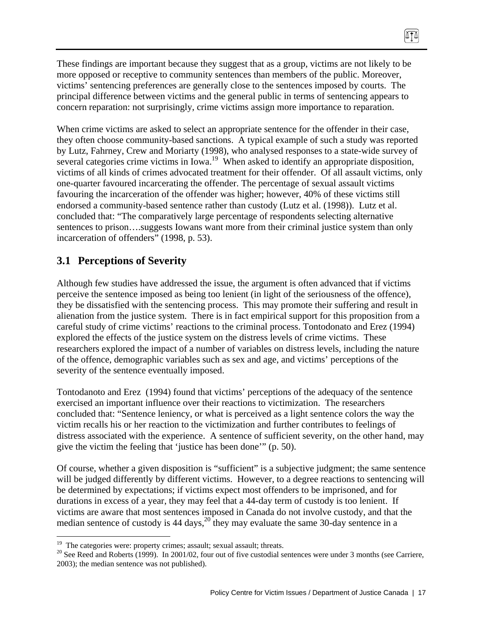These findings are important because they suggest that as a group, victims are not likely to be more opposed or receptive to community sentences than members of the public. Moreover, victims' sentencing preferences are generally close to the sentences imposed by courts. The principal difference between victims and the general public in terms of sentencing appears to concern reparation: not surprisingly, crime victims assign more importance to reparation.

 $\sqrt{10}$ 

When crime victims are asked to select an appropriate sentence for the offender in their case, they often choose community-based sanctions. A typical example of such a study was reported by Lutz, Fahrney, Crew and Moriarty (1998), who analysed responses to a state-wide survey of several categories crime victims in Iowa.<sup>19</sup> When asked to identify an appropriate disposition, victims of all kinds of crimes advocated treatment for their offender. Of all assault victims, only one-quarter favoured incarcerating the offender. The percentage of sexual assault victims favouring the incarceration of the offender was higher; however, 40% of these victims still endorsed a community-based sentence rather than custody (Lutz et al. (1998)). Lutz et al. concluded that: "The comparatively large percentage of respondents selecting alternative sentences to prison....suggests Iowans want more from their criminal justice system than only incarceration of offenders" (1998, p. 53).

#### **3.1 Perceptions of Severity**

Although few studies have addressed the issue, the argument is often advanced that if victims perceive the sentence imposed as being too lenient (in light of the seriousness of the offence), they be dissatisfied with the sentencing process. This may promote their suffering and result in alienation from the justice system. There is in fact empirical support for this proposition from a careful study of crime victims' reactions to the criminal process. Tontodonato and Erez (1994) explored the effects of the justice system on the distress levels of crime victims. These researchers explored the impact of a number of variables on distress levels, including the nature of the offence, demographic variables such as sex and age, and victims' perceptions of the severity of the sentence eventually imposed.

Tontodanoto and Erez (1994) found that victims' perceptions of the adequacy of the sentence exercised an important influence over their reactions to victimization. The researchers concluded that: "Sentence leniency, or what is perceived as a light sentence colors the way the victim recalls his or her reaction to the victimization and further contributes to feelings of distress associated with the experience. A sentence of sufficient severity, on the other hand, may give the victim the feeling that 'justice has been done'" (p. 50).

Of course, whether a given disposition is "sufficient" is a subjective judgment; the same sentence will be judged differently by different victims. However, to a degree reactions to sentencing will be determined by expectations; if victims expect most offenders to be imprisoned, and for durations in excess of a year, they may feel that a 44-day term of custody is too lenient. If victims are aware that most sentences imposed in Canada do not involve custody, and that the median sentence of custody is 44 days,<sup>20</sup> they may evaluate the same 30-day sentence in a

<sup>&</sup>lt;sup>19</sup> The categories were: property crimes; assault; sexual assault; threats.

<sup>&</sup>lt;sup>20</sup> See Reed and Roberts (1999). In 2001/02, four out of five custodial sentences were under 3 months (see Carriere, 2003); the median sentence was not published).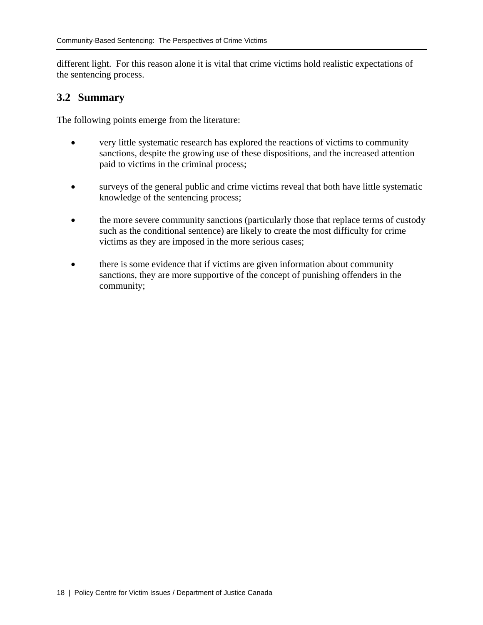different light. For this reason alone it is vital that crime victims hold realistic expectations of the sentencing process.

#### **3.2 Summary**

The following points emerge from the literature:

- very little systematic research has explored the reactions of victims to community sanctions, despite the growing use of these dispositions, and the increased attention paid to victims in the criminal process;
- surveys of the general public and crime victims reveal that both have little systematic knowledge of the sentencing process;
- the more severe community sanctions (particularly those that replace terms of custody such as the conditional sentence) are likely to create the most difficulty for crime victims as they are imposed in the more serious cases;
- there is some evidence that if victims are given information about community sanctions, they are more supportive of the concept of punishing offenders in the community;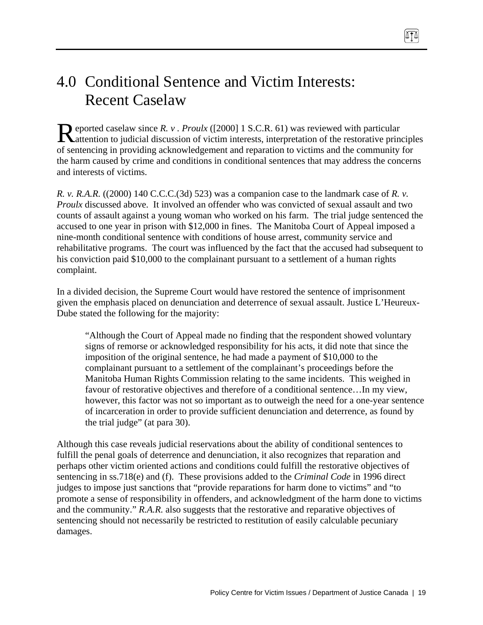# 4.0 Conditional Sentence and Victim Interests: Recent Caselaw

eported caselaw since *R. v . Proulx* ([2000] 1 S.C.R. 61) was reviewed with particular Reported caselaw since R. v. Proulx ([2000] 1 S.C.R. 61) was reviewed with particular discussion of victim interests, interpretation of the restorative principles of sentencing in providing acknowledgement and reparation to victims and the community for the harm caused by crime and conditions in conditional sentences that may address the concerns and interests of victims.

*R. v. R.A.R.* ((2000) 140 C.C.C.(3d) 523) was a companion case to the landmark case of *R. v. Proulx* discussed above. It involved an offender who was convicted of sexual assault and two counts of assault against a young woman who worked on his farm. The trial judge sentenced the accused to one year in prison with \$12,000 in fines. The Manitoba Court of Appeal imposed a nine-month conditional sentence with conditions of house arrest, community service and rehabilitative programs. The court was influenced by the fact that the accused had subsequent to his conviction paid \$10,000 to the complainant pursuant to a settlement of a human rights complaint.

In a divided decision, the Supreme Court would have restored the sentence of imprisonment given the emphasis placed on denunciation and deterrence of sexual assault. Justice L'Heureux-Dube stated the following for the majority:

"Although the Court of Appeal made no finding that the respondent showed voluntary signs of remorse or acknowledged responsibility for his acts, it did note that since the imposition of the original sentence, he had made a payment of \$10,000 to the complainant pursuant to a settlement of the complainant's proceedings before the Manitoba Human Rights Commission relating to the same incidents. This weighed in favour of restorative objectives and therefore of a conditional sentence…In my view, however, this factor was not so important as to outweigh the need for a one-year sentence of incarceration in order to provide sufficient denunciation and deterrence, as found by the trial judge" (at para 30).

Although this case reveals judicial reservations about the ability of conditional sentences to fulfill the penal goals of deterrence and denunciation, it also recognizes that reparation and perhaps other victim oriented actions and conditions could fulfill the restorative objectives of sentencing in ss.718(e) and (f). These provisions added to the *Criminal Code* in 1996 direct judges to impose just sanctions that "provide reparations for harm done to victims" and "to promote a sense of responsibility in offenders, and acknowledgment of the harm done to victims and the community." *R.A.R.* also suggests that the restorative and reparative objectives of sentencing should not necessarily be restricted to restitution of easily calculable pecuniary damages.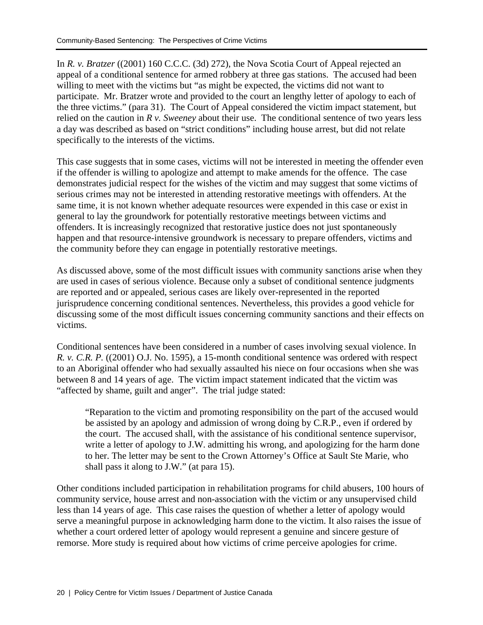In *R. v. Bratzer* ((2001) 160 C.C.C. (3d) 272), the Nova Scotia Court of Appeal rejected an appeal of a conditional sentence for armed robbery at three gas stations. The accused had been willing to meet with the victims but "as might be expected, the victims did not want to participate. Mr. Bratzer wrote and provided to the court an lengthy letter of apology to each of the three victims." (para 31). The Court of Appeal considered the victim impact statement, but relied on the caution in *R v. Sweeney* about their use. The conditional sentence of two years less a day was described as based on "strict conditions" including house arrest, but did not relate specifically to the interests of the victims.

This case suggests that in some cases, victims will not be interested in meeting the offender even if the offender is willing to apologize and attempt to make amends for the offence. The case demonstrates judicial respect for the wishes of the victim and may suggest that some victims of serious crimes may not be interested in attending restorative meetings with offenders. At the same time, it is not known whether adequate resources were expended in this case or exist in general to lay the groundwork for potentially restorative meetings between victims and offenders. It is increasingly recognized that restorative justice does not just spontaneously happen and that resource-intensive groundwork is necessary to prepare offenders, victims and the community before they can engage in potentially restorative meetings.

As discussed above, some of the most difficult issues with community sanctions arise when they are used in cases of serious violence. Because only a subset of conditional sentence judgments are reported and or appealed, serious cases are likely over-represented in the reported jurisprudence concerning conditional sentences. Nevertheless, this provides a good vehicle for discussing some of the most difficult issues concerning community sanctions and their effects on victims.

Conditional sentences have been considered in a number of cases involving sexual violence. In *R. v. C.R. P.* ((2001) O.J. No. 1595)*,* a 15-month conditional sentence was ordered with respect to an Aboriginal offender who had sexually assaulted his niece on four occasions when she was between 8 and 14 years of age. The victim impact statement indicated that the victim was "affected by shame, guilt and anger". The trial judge stated:

"Reparation to the victim and promoting responsibility on the part of the accused would be assisted by an apology and admission of wrong doing by C.R.P., even if ordered by the court. The accused shall, with the assistance of his conditional sentence supervisor, write a letter of apology to J.W. admitting his wrong, and apologizing for the harm done to her. The letter may be sent to the Crown Attorney's Office at Sault Ste Marie, who shall pass it along to J.W." (at para 15).

Other conditions included participation in rehabilitation programs for child abusers, 100 hours of community service, house arrest and non-association with the victim or any unsupervised child less than 14 years of age. This case raises the question of whether a letter of apology would serve a meaningful purpose in acknowledging harm done to the victim. It also raises the issue of whether a court ordered letter of apology would represent a genuine and sincere gesture of remorse. More study is required about how victims of crime perceive apologies for crime.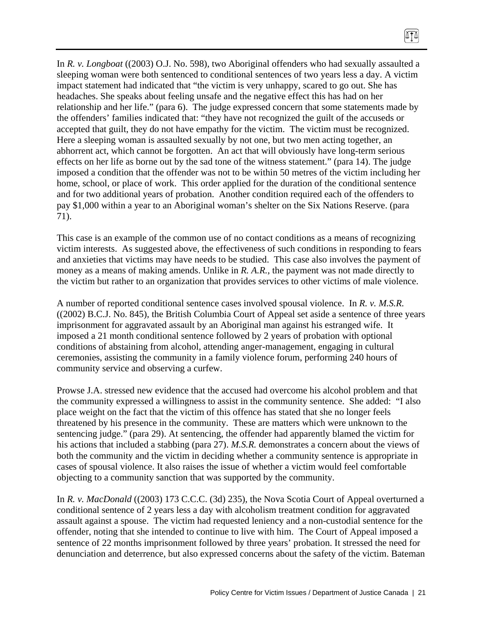In *R. v. Longboat* ((2003) O.J. No. 598), two Aboriginal offenders who had sexually assaulted a sleeping woman were both sentenced to conditional sentences of two years less a day. A victim impact statement had indicated that "the victim is very unhappy, scared to go out. She has headaches. She speaks about feeling unsafe and the negative effect this has had on her relationship and her life." (para 6). The judge expressed concern that some statements made by the offenders' families indicated that: "they have not recognized the guilt of the accuseds or accepted that guilt, they do not have empathy for the victim. The victim must be recognized. Here a sleeping woman is assaulted sexually by not one, but two men acting together, an abhorrent act, which cannot be forgotten. An act that will obviously have long-term serious effects on her life as borne out by the sad tone of the witness statement." (para 14). The judge imposed a condition that the offender was not to be within 50 metres of the victim including her home, school, or place of work. This order applied for the duration of the conditional sentence and for two additional years of probation. Another condition required each of the offenders to pay \$1,000 within a year to an Aboriginal woman's shelter on the Six Nations Reserve. (para 71).

 $\sqrt{11}$ 

This case is an example of the common use of no contact conditions as a means of recognizing victim interests. As suggested above, the effectiveness of such conditions in responding to fears and anxieties that victims may have needs to be studied. This case also involves the payment of money as a means of making amends. Unlike in *R. A.R.*, the payment was not made directly to the victim but rather to an organization that provides services to other victims of male violence.

A number of reported conditional sentence cases involved spousal violence. In *R. v. M.S.R.*  ((2002) B.C.J. No. 845)*,* the British Columbia Court of Appeal set aside a sentence of three years imprisonment for aggravated assault by an Aboriginal man against his estranged wife. It imposed a 21 month conditional sentence followed by 2 years of probation with optional conditions of abstaining from alcohol, attending anger-management, engaging in cultural ceremonies, assisting the community in a family violence forum, performing 240 hours of community service and observing a curfew.

Prowse J.A. stressed new evidence that the accused had overcome his alcohol problem and that the community expressed a willingness to assist in the community sentence. She added: "I also place weight on the fact that the victim of this offence has stated that she no longer feels threatened by his presence in the community. These are matters which were unknown to the sentencing judge." (para 29). At sentencing, the offender had apparently blamed the victim for his actions that included a stabbing (para 27). *M.S.R.* demonstrates a concern about the views of both the community and the victim in deciding whether a community sentence is appropriate in cases of spousal violence. It also raises the issue of whether a victim would feel comfortable objecting to a community sanction that was supported by the community.

In *R. v. MacDonald* ((2003) 173 C.C.C. (3d) 235)*,* the Nova Scotia Court of Appeal overturned a conditional sentence of 2 years less a day with alcoholism treatment condition for aggravated assault against a spouse. The victim had requested leniency and a non-custodial sentence for the offender, noting that she intended to continue to live with him. The Court of Appeal imposed a sentence of 22 months imprisonment followed by three years' probation. It stressed the need for denunciation and deterrence, but also expressed concerns about the safety of the victim. Bateman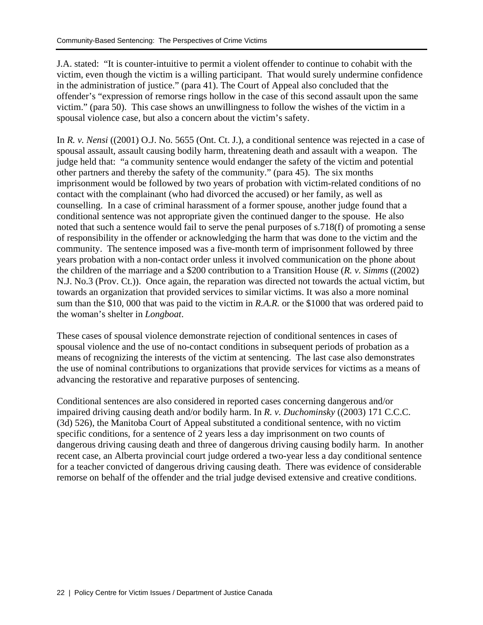J.A. stated: "It is counter-intuitive to permit a violent offender to continue to cohabit with the victim, even though the victim is a willing participant. That would surely undermine confidence in the administration of justice." (para 41). The Court of Appeal also concluded that the offender's "expression of remorse rings hollow in the case of this second assault upon the same victim." (para 50). This case shows an unwillingness to follow the wishes of the victim in a spousal violence case, but also a concern about the victim's safety.

In *R. v. Nensi* ((2001) O.J. No. 5655 (Ont. Ct. J.), a conditional sentence was rejected in a case of spousal assault, assault causing bodily harm, threatening death and assault with a weapon. The judge held that: "a community sentence would endanger the safety of the victim and potential other partners and thereby the safety of the community." (para 45). The six months imprisonment would be followed by two years of probation with victim-related conditions of no contact with the complainant (who had divorced the accused) or her family, as well as counselling. In a case of criminal harassment of a former spouse, another judge found that a conditional sentence was not appropriate given the continued danger to the spouse. He also noted that such a sentence would fail to serve the penal purposes of s.718(f) of promoting a sense of responsibility in the offender or acknowledging the harm that was done to the victim and the community. The sentence imposed was a five-month term of imprisonment followed by three years probation with a non-contact order unless it involved communication on the phone about the children of the marriage and a \$200 contribution to a Transition House (*R. v. Simms* ((2002) N.J. No.3 (Prov. Ct.)). Once again, the reparation was directed not towards the actual victim, but towards an organization that provided services to similar victims. It was also a more nominal sum than the \$10, 000 that was paid to the victim in *R.A.R.* or the \$1000 that was ordered paid to the woman's shelter in *Longboat*.

These cases of spousal violence demonstrate rejection of conditional sentences in cases of spousal violence and the use of no-contact conditions in subsequent periods of probation as a means of recognizing the interests of the victim at sentencing. The last case also demonstrates the use of nominal contributions to organizations that provide services for victims as a means of advancing the restorative and reparative purposes of sentencing.

Conditional sentences are also considered in reported cases concerning dangerous and/or impaired driving causing death and/or bodily harm. In *R. v. Duchominsky* ((2003) 171 C.C.C. (3d) 526), the Manitoba Court of Appeal substituted a conditional sentence, with no victim specific conditions, for a sentence of 2 years less a day imprisonment on two counts of dangerous driving causing death and three of dangerous driving causing bodily harm. In another recent case, an Alberta provincial court judge ordered a two-year less a day conditional sentence for a teacher convicted of dangerous driving causing death. There was evidence of considerable remorse on behalf of the offender and the trial judge devised extensive and creative conditions.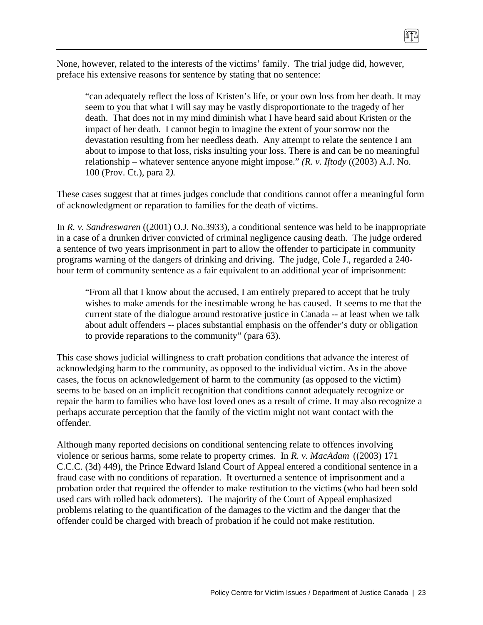8TT

"can adequately reflect the loss of Kristen's life, or your own loss from her death. It may seem to you that what I will say may be vastly disproportionate to the tragedy of her death. That does not in my mind diminish what I have heard said about Kristen or the impact of her death. I cannot begin to imagine the extent of your sorrow nor the devastation resulting from her needless death. Any attempt to relate the sentence I am about to impose to that loss, risks insulting your loss. There is and can be no meaningful relationship – whatever sentence anyone might impose." *(R. v. Iftody* ((2003) A.J. No. 100 (Prov. Ct.)*,* para 2*).*

These cases suggest that at times judges conclude that conditions cannot offer a meaningful form of acknowledgment or reparation to families for the death of victims.

In *R. v. Sandreswaren* ((2001) O.J. No.3933)*,* a conditional sentence was held to be inappropriate in a case of a drunken driver convicted of criminal negligence causing death. The judge ordered a sentence of two years imprisonment in part to allow the offender to participate in community programs warning of the dangers of drinking and driving. The judge, Cole J., regarded a 240 hour term of community sentence as a fair equivalent to an additional year of imprisonment:

"From all that I know about the accused, I am entirely prepared to accept that he truly wishes to make amends for the inestimable wrong he has caused. It seems to me that the current state of the dialogue around restorative justice in Canada -- at least when we talk about adult offenders -- places substantial emphasis on the offender's duty or obligation to provide reparations to the community" (para 63).

This case shows judicial willingness to craft probation conditions that advance the interest of acknowledging harm to the community, as opposed to the individual victim. As in the above cases, the focus on acknowledgement of harm to the community (as opposed to the victim) seems to be based on an implicit recognition that conditions cannot adequately recognize or repair the harm to families who have lost loved ones as a result of crime. It may also recognize a perhaps accurate perception that the family of the victim might not want contact with the offender.

Although many reported decisions on conditional sentencing relate to offences involving violence or serious harms, some relate to property crimes. In *R. v. MacAdam* ((2003) 171 C.C.C. (3d) 449), the Prince Edward Island Court of Appeal entered a conditional sentence in a fraud case with no conditions of reparation. It overturned a sentence of imprisonment and a probation order that required the offender to make restitution to the victims (who had been sold used cars with rolled back odometers). The majority of the Court of Appeal emphasized problems relating to the quantification of the damages to the victim and the danger that the offender could be charged with breach of probation if he could not make restitution.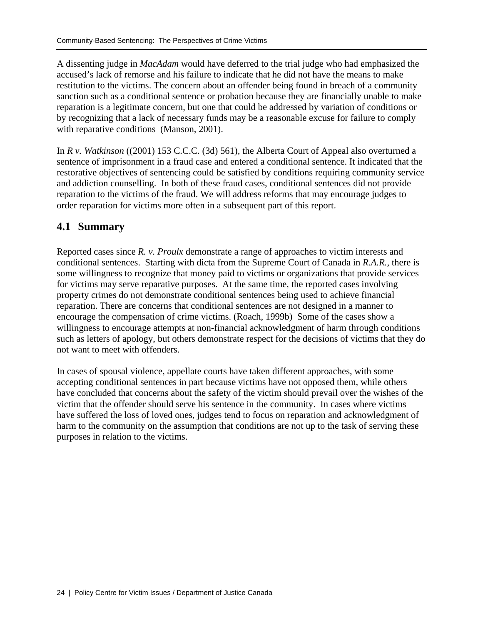A dissenting judge in *MacAdam* would have deferred to the trial judge who had emphasized the accused's lack of remorse and his failure to indicate that he did not have the means to make restitution to the victims. The concern about an offender being found in breach of a community sanction such as a conditional sentence or probation because they are financially unable to make reparation is a legitimate concern, but one that could be addressed by variation of conditions or by recognizing that a lack of necessary funds may be a reasonable excuse for failure to comply with reparative conditions (Manson, 2001).

In *R v. Watkinson* ((2001) 153 C.C.C. (3d) 561)*,* the Alberta Court of Appeal also overturned a sentence of imprisonment in a fraud case and entered a conditional sentence. It indicated that the restorative objectives of sentencing could be satisfied by conditions requiring community service and addiction counselling. In both of these fraud cases, conditional sentences did not provide reparation to the victims of the fraud. We will address reforms that may encourage judges to order reparation for victims more often in a subsequent part of this report.

### **4.1 Summary**

Reported cases since *R. v. Proulx* demonstrate a range of approaches to victim interests and conditional sentences. Starting with dicta from the Supreme Court of Canada in *R.A.R.*, there is some willingness to recognize that money paid to victims or organizations that provide services for victims may serve reparative purposes. At the same time, the reported cases involving property crimes do not demonstrate conditional sentences being used to achieve financial reparation. There are concerns that conditional sentences are not designed in a manner to encourage the compensation of crime victims. (Roach, 1999b) Some of the cases show a willingness to encourage attempts at non-financial acknowledgment of harm through conditions such as letters of apology, but others demonstrate respect for the decisions of victims that they do not want to meet with offenders.

In cases of spousal violence, appellate courts have taken different approaches, with some accepting conditional sentences in part because victims have not opposed them, while others have concluded that concerns about the safety of the victim should prevail over the wishes of the victim that the offender should serve his sentence in the community. In cases where victims have suffered the loss of loved ones, judges tend to focus on reparation and acknowledgment of harm to the community on the assumption that conditions are not up to the task of serving these purposes in relation to the victims.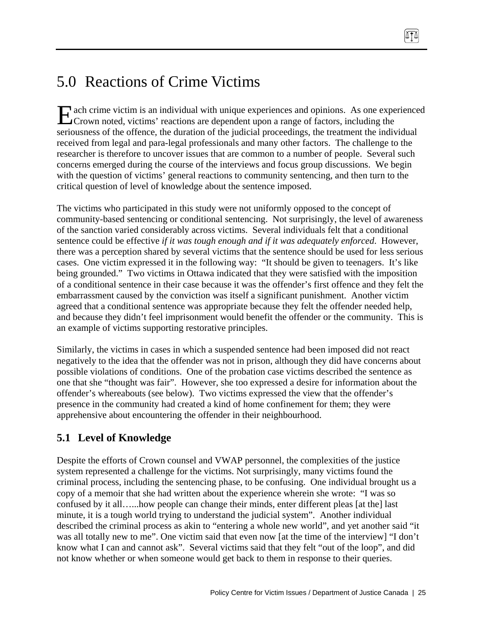# 5.0 Reactions of Crime Victims

ach crime victim is an individual with unique experiences and opinions. As one experienced Exercise and opinions. As one experiences and opinions. As one experiences and opinions. As one experiences and opinions. As one experiences and opinions. As one experiences are dependent upon a range of factors, including seriousness of the offence, the duration of the judicial proceedings, the treatment the individual received from legal and para-legal professionals and many other factors. The challenge to the researcher is therefore to uncover issues that are common to a number of people. Several such concerns emerged during the course of the interviews and focus group discussions. We begin with the question of victims' general reactions to community sentencing, and then turn to the critical question of level of knowledge about the sentence imposed.

ATA

The victims who participated in this study were not uniformly opposed to the concept of community-based sentencing or conditional sentencing. Not surprisingly, the level of awareness of the sanction varied considerably across victims. Several individuals felt that a conditional sentence could be effective *if it was tough enough and if it was adequately enforced*. However, there was a perception shared by several victims that the sentence should be used for less serious cases. One victim expressed it in the following way: "It should be given to teenagers. It's like being grounded." Two victims in Ottawa indicated that they were satisfied with the imposition of a conditional sentence in their case because it was the offender's first offence and they felt the embarrassment caused by the conviction was itself a significant punishment. Another victim agreed that a conditional sentence was appropriate because they felt the offender needed help, and because they didn't feel imprisonment would benefit the offender or the community. This is an example of victims supporting restorative principles.

Similarly, the victims in cases in which a suspended sentence had been imposed did not react negatively to the idea that the offender was not in prison, although they did have concerns about possible violations of conditions. One of the probation case victims described the sentence as one that she "thought was fair". However, she too expressed a desire for information about the offender's whereabouts (see below). Two victims expressed the view that the offender's presence in the community had created a kind of home confinement for them; they were apprehensive about encountering the offender in their neighbourhood.

## **5.1 Level of Knowledge**

Despite the efforts of Crown counsel and VWAP personnel, the complexities of the justice system represented a challenge for the victims. Not surprisingly, many victims found the criminal process, including the sentencing phase, to be confusing. One individual brought us a copy of a memoir that she had written about the experience wherein she wrote: "I was so confused by it all…...how people can change their minds, enter different pleas [at the] last minute, it is a tough world trying to understand the judicial system". Another individual described the criminal process as akin to "entering a whole new world", and yet another said "it was all totally new to me". One victim said that even now [at the time of the interview] "I don't know what I can and cannot ask". Several victims said that they felt "out of the loop", and did not know whether or when someone would get back to them in response to their queries.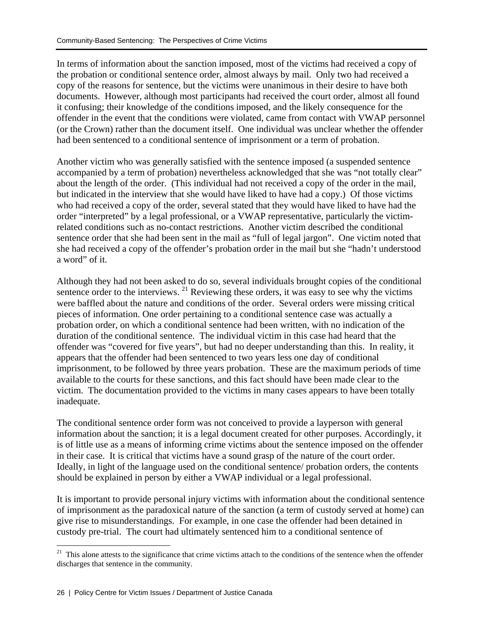In terms of information about the sanction imposed, most of the victims had received a copy of the probation or conditional sentence order, almost always by mail. Only two had received a copy of the reasons for sentence, but the victims were unanimous in their desire to have both documents. However, although most participants had received the court order, almost all found it confusing; their knowledge of the conditions imposed, and the likely consequence for the offender in the event that the conditions were violated, came from contact with VWAP personnel (or the Crown) rather than the document itself. One individual was unclear whether the offender had been sentenced to a conditional sentence of imprisonment or a term of probation.

Another victim who was generally satisfied with the sentence imposed (a suspended sentence accompanied by a term of probation) nevertheless acknowledged that she was "not totally clear" about the length of the order. (This individual had not received a copy of the order in the mail, but indicated in the interview that she would have liked to have had a copy.) Of those victims who had received a copy of the order, several stated that they would have liked to have had the order "interpreted" by a legal professional, or a VWAP representative, particularly the victimrelated conditions such as no-contact restrictions. Another victim described the conditional sentence order that she had been sent in the mail as "full of legal jargon". One victim noted that she had received a copy of the offender's probation order in the mail but she "hadn't understood a word" of it.

Although they had not been asked to do so, several individuals brought copies of the conditional sentence order to the interviews.  $^{21}$  Reviewing these orders, it was easy to see why the victims were baffled about the nature and conditions of the order. Several orders were missing critical pieces of information. One order pertaining to a conditional sentence case was actually a probation order, on which a conditional sentence had been written, with no indication of the duration of the conditional sentence. The individual victim in this case had heard that the offender was "covered for five years", but had no deeper understanding than this. In reality, it appears that the offender had been sentenced to two years less one day of conditional imprisonment, to be followed by three years probation. These are the maximum periods of time available to the courts for these sanctions, and this fact should have been made clear to the victim. The documentation provided to the victims in many cases appears to have been totally inadequate.

The conditional sentence order form was not conceived to provide a layperson with general information about the sanction; it is a legal document created for other purposes. Accordingly, it is of little use as a means of informing crime victims about the sentence imposed on the offender in their case. It is critical that victims have a sound grasp of the nature of the court order. Ideally, in light of the language used on the conditional sentence/ probation orders, the contents should be explained in person by either a VWAP individual or a legal professional.

It is important to provide personal injury victims with information about the conditional sentence of imprisonment as the paradoxical nature of the sanction (a term of custody served at home) can give rise to misunderstandings. For example, in one case the offender had been detained in custody pre-trial. The court had ultimately sentenced him to a conditional sentence of

 $21$  This alone attests to the significance that crime victims attach to the conditions of the sentence when the offender discharges that sentence in the community.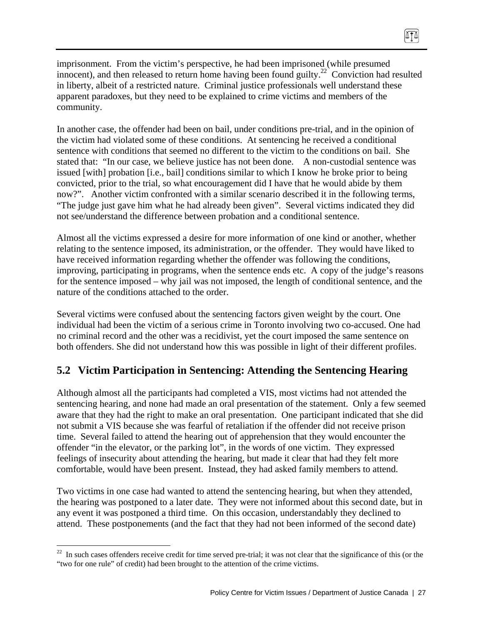imprisonment. From the victim's perspective, he had been imprisoned (while presumed innocent), and then released to return home having been found guilty.<sup>22</sup> Conviction had resulted in liberty, albeit of a restricted nature. Criminal justice professionals well understand these apparent paradoxes, but they need to be explained to crime victims and members of the community.

874

In another case, the offender had been on bail, under conditions pre-trial, and in the opinion of the victim had violated some of these conditions. At sentencing he received a conditional sentence with conditions that seemed no different to the victim to the conditions on bail. She stated that: "In our case, we believe justice has not been done. A non-custodial sentence was issued [with] probation [i.e., bail] conditions similar to which I know he broke prior to being convicted, prior to the trial, so what encouragement did I have that he would abide by them now?". Another victim confronted with a similar scenario described it in the following terms, "The judge just gave him what he had already been given". Several victims indicated they did not see/understand the difference between probation and a conditional sentence.

Almost all the victims expressed a desire for more information of one kind or another, whether relating to the sentence imposed, its administration, or the offender. They would have liked to have received information regarding whether the offender was following the conditions, improving, participating in programs, when the sentence ends etc. A copy of the judge's reasons for the sentence imposed – why jail was not imposed, the length of conditional sentence, and the nature of the conditions attached to the order.

Several victims were confused about the sentencing factors given weight by the court. One individual had been the victim of a serious crime in Toronto involving two co-accused. One had no criminal record and the other was a recidivist, yet the court imposed the same sentence on both offenders. She did not understand how this was possible in light of their different profiles.

## **5.2 Victim Participation in Sentencing: Attending the Sentencing Hearing**

Although almost all the participants had completed a VIS, most victims had not attended the sentencing hearing, and none had made an oral presentation of the statement. Only a few seemed aware that they had the right to make an oral presentation. One participant indicated that she did not submit a VIS because she was fearful of retaliation if the offender did not receive prison time. Several failed to attend the hearing out of apprehension that they would encounter the offender "in the elevator, or the parking lot", in the words of one victim. They expressed feelings of insecurity about attending the hearing, but made it clear that had they felt more comfortable, would have been present. Instead, they had asked family members to attend.

Two victims in one case had wanted to attend the sentencing hearing, but when they attended, the hearing was postponed to a later date. They were not informed about this second date, but in any event it was postponed a third time. On this occasion, understandably they declined to attend. These postponements (and the fact that they had not been informed of the second date)

 $22$  In such cases offenders receive credit for time served pre-trial; it was not clear that the significance of this (or the "two for one rule" of credit) had been brought to the attention of the crime victims.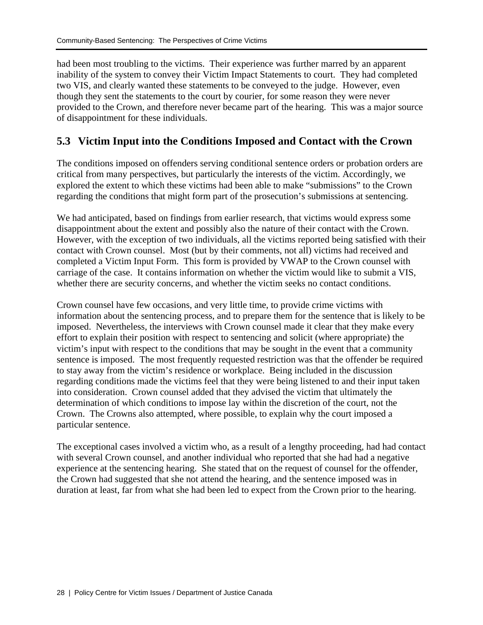had been most troubling to the victims. Their experience was further marred by an apparent inability of the system to convey their Victim Impact Statements to court. They had completed two VIS, and clearly wanted these statements to be conveyed to the judge. However, even though they sent the statements to the court by courier, for some reason they were never provided to the Crown, and therefore never became part of the hearing. This was a major source of disappointment for these individuals.

### **5.3 Victim Input into the Conditions Imposed and Contact with the Crown**

The conditions imposed on offenders serving conditional sentence orders or probation orders are critical from many perspectives, but particularly the interests of the victim. Accordingly, we explored the extent to which these victims had been able to make "submissions" to the Crown regarding the conditions that might form part of the prosecution's submissions at sentencing.

We had anticipated, based on findings from earlier research, that victims would express some disappointment about the extent and possibly also the nature of their contact with the Crown. However, with the exception of two individuals, all the victims reported being satisfied with their contact with Crown counsel. Most (but by their comments, not all) victims had received and completed a Victim Input Form. This form is provided by VWAP to the Crown counsel with carriage of the case. It contains information on whether the victim would like to submit a VIS, whether there are security concerns, and whether the victim seeks no contact conditions.

Crown counsel have few occasions, and very little time, to provide crime victims with information about the sentencing process, and to prepare them for the sentence that is likely to be imposed. Nevertheless, the interviews with Crown counsel made it clear that they make every effort to explain their position with respect to sentencing and solicit (where appropriate) the victim's input with respect to the conditions that may be sought in the event that a community sentence is imposed. The most frequently requested restriction was that the offender be required to stay away from the victim's residence or workplace. Being included in the discussion regarding conditions made the victims feel that they were being listened to and their input taken into consideration. Crown counsel added that they advised the victim that ultimately the determination of which conditions to impose lay within the discretion of the court, not the Crown. The Crowns also attempted, where possible, to explain why the court imposed a particular sentence.

The exceptional cases involved a victim who, as a result of a lengthy proceeding, had had contact with several Crown counsel, and another individual who reported that she had had a negative experience at the sentencing hearing. She stated that on the request of counsel for the offender, the Crown had suggested that she not attend the hearing, and the sentence imposed was in duration at least, far from what she had been led to expect from the Crown prior to the hearing.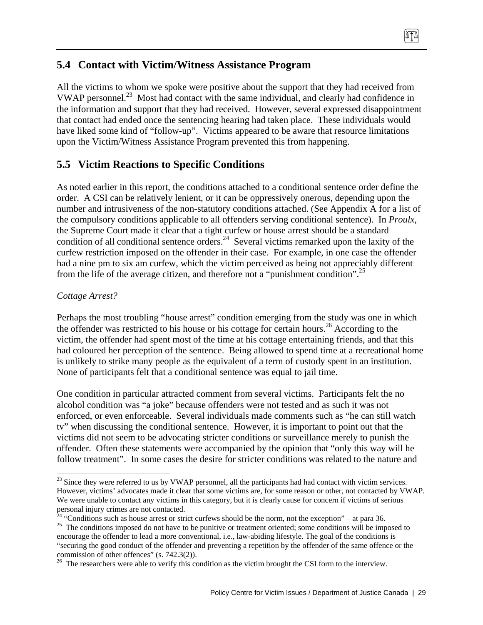### **5.4 Contact with Victim/Witness Assistance Program**

All the victims to whom we spoke were positive about the support that they had received from VWAP personnel.<sup>23</sup> Most had contact with the same individual, and clearly had confidence in the information and support that they had received. However, several expressed disappointment that contact had ended once the sentencing hearing had taken place. These individuals would have liked some kind of "follow-up". Victims appeared to be aware that resource limitations upon the Victim/Witness Assistance Program prevented this from happening.

### **5.5 Victim Reactions to Specific Conditions**

As noted earlier in this report, the conditions attached to a conditional sentence order define the order. A CSI can be relatively lenient, or it can be oppressively onerous, depending upon the number and intrusiveness of the non-statutory conditions attached. (See Appendix A for a list of the compulsory conditions applicable to all offenders serving conditional sentence). In *Proulx*, the Supreme Court made it clear that a tight curfew or house arrest should be a standard condition of all conditional sentence orders.<sup>24</sup> Several victims remarked upon the laxity of the curfew restriction imposed on the offender in their case. For example, in one case the offender had a nine pm to six am curfew, which the victim perceived as being not appreciably different from the life of the average citizen, and therefore not a "punishment condition".<sup>25</sup>

#### *Cottage Arrest?*

 $\overline{a}$ 

Perhaps the most troubling "house arrest" condition emerging from the study was one in which the offender was restricted to his house or his cottage for certain hours.<sup>26</sup> According to the victim, the offender had spent most of the time at his cottage entertaining friends, and that this had coloured her perception of the sentence. Being allowed to spend time at a recreational home is unlikely to strike many people as the equivalent of a term of custody spent in an institution. None of participants felt that a conditional sentence was equal to jail time.

One condition in particular attracted comment from several victims. Participants felt the no alcohol condition was "a joke" because offenders were not tested and as such it was not enforced, or even enforceable. Several individuals made comments such as "he can still watch tv" when discussing the conditional sentence. However, it is important to point out that the victims did not seem to be advocating stricter conditions or surveillance merely to punish the offender. Often these statements were accompanied by the opinion that "only this way will he follow treatment". In some cases the desire for stricter conditions was related to the nature and

<sup>&</sup>lt;sup>23</sup> Since they were referred to us by VWAP personnel, all the participants had had contact with victim services. However, victims' advocates made it clear that some victims are, for some reason or other, not contacted by VWAP. We were unable to contact any victims in this category, but it is clearly cause for concern if victims of serious personal injury crimes are not contacted.<br><sup>24</sup> "Conditions such as house arrest or strict curfews should be the norm, not the exception" – at para 36.

 $25$  The conditions imposed do not have to be punitive or treatment oriented; some conditions will be imposed to encourage the offender to lead a more conventional, i.e., law-abiding lifestyle. The goal of the conditions is "securing the good conduct of the offender and preventing a repetition by the offender of the same offence or the commission of other offences" (s. 742.3(2)).

 $26$  The researchers were able to verify this condition as the victim brought the CSI form to the interview.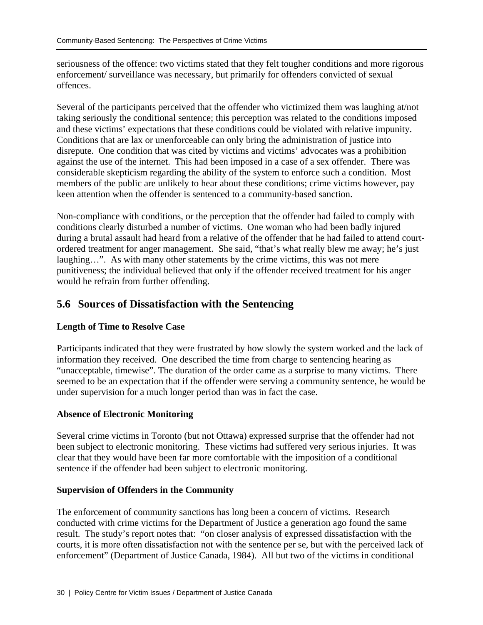seriousness of the offence: two victims stated that they felt tougher conditions and more rigorous enforcement/ surveillance was necessary, but primarily for offenders convicted of sexual offences.

Several of the participants perceived that the offender who victimized them was laughing at/not taking seriously the conditional sentence; this perception was related to the conditions imposed and these victims' expectations that these conditions could be violated with relative impunity. Conditions that are lax or unenforceable can only bring the administration of justice into disrepute. One condition that was cited by victims and victims' advocates was a prohibition against the use of the internet. This had been imposed in a case of a sex offender. There was considerable skepticism regarding the ability of the system to enforce such a condition. Most members of the public are unlikely to hear about these conditions; crime victims however, pay keen attention when the offender is sentenced to a community-based sanction.

Non-compliance with conditions, or the perception that the offender had failed to comply with conditions clearly disturbed a number of victims. One woman who had been badly injured during a brutal assault had heard from a relative of the offender that he had failed to attend courtordered treatment for anger management. She said, "that's what really blew me away; he's just laughing…". As with many other statements by the crime victims, this was not mere punitiveness; the individual believed that only if the offender received treatment for his anger would he refrain from further offending.

### **5.6 Sources of Dissatisfaction with the Sentencing**

#### **Length of Time to Resolve Case**

Participants indicated that they were frustrated by how slowly the system worked and the lack of information they received. One described the time from charge to sentencing hearing as "unacceptable, timewise". The duration of the order came as a surprise to many victims. There seemed to be an expectation that if the offender were serving a community sentence, he would be under supervision for a much longer period than was in fact the case.

#### **Absence of Electronic Monitoring**

Several crime victims in Toronto (but not Ottawa) expressed surprise that the offender had not been subject to electronic monitoring. These victims had suffered very serious injuries. It was clear that they would have been far more comfortable with the imposition of a conditional sentence if the offender had been subject to electronic monitoring.

#### **Supervision of Offenders in the Community**

The enforcement of community sanctions has long been a concern of victims. Research conducted with crime victims for the Department of Justice a generation ago found the same result. The study's report notes that: "on closer analysis of expressed dissatisfaction with the courts, it is more often dissatisfaction not with the sentence per se, but with the perceived lack of enforcement" (Department of Justice Canada, 1984). All but two of the victims in conditional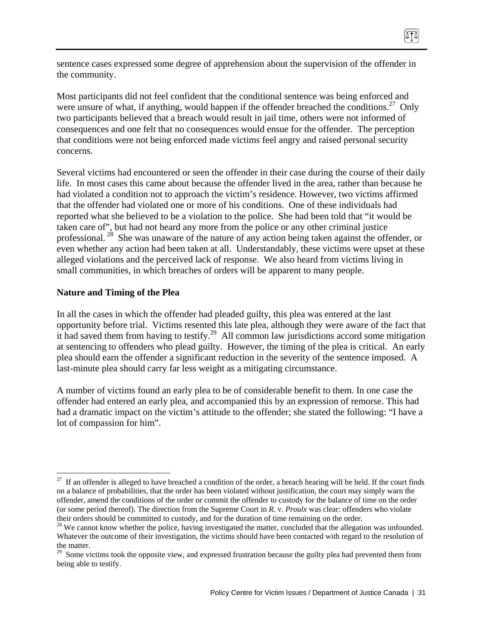sentence cases expressed some degree of apprehension about the supervision of the offender in the community.

Most participants did not feel confident that the conditional sentence was being enforced and were unsure of what, if anything, would happen if the offender breached the conditions.<sup>27</sup> Only two participants believed that a breach would result in jail time, others were not informed of consequences and one felt that no consequences would ensue for the offender. The perception that conditions were not being enforced made victims feel angry and raised personal security concerns.

Several victims had encountered or seen the offender in their case during the course of their daily life. In most cases this came about because the offender lived in the area, rather than because he had violated a condition not to approach the victim's residence. However, two victims affirmed that the offender had violated one or more of his conditions. One of these individuals had reported what she believed to be a violation to the police. She had been told that "it would be taken care of", but had not heard any more from the police or any other criminal justice professional.<sup>28</sup> She was unaware of the nature of any action being taken against the offender, or even whether any action had been taken at all. Understandably, these victims were upset at these alleged violations and the perceived lack of response. We also heard from victims living in small communities, in which breaches of orders will be apparent to many people.

#### **Nature and Timing of the Plea**

 $\overline{a}$ 

In all the cases in which the offender had pleaded guilty, this plea was entered at the last opportunity before trial. Victims resented this late plea, although they were aware of the fact that it had saved them from having to testify.<sup>29</sup> All common law jurisdictions accord some mitigation at sentencing to offenders who plead guilty. However, the timing of the plea is critical. An early plea should earn the offender a significant reduction in the severity of the sentence imposed. A last-minute plea should carry far less weight as a mitigating circumstance.

A number of victims found an early plea to be of considerable benefit to them. In one case the offender had entered an early plea, and accompanied this by an expression of remorse. This had had a dramatic impact on the victim's attitude to the offender; she stated the following: "I have a lot of compassion for him".

 $27$  If an offender is alleged to have breached a condition of the order, a breach hearing will be held. If the court finds on a balance of probabilities, that the order has been violated without justification, the court may simply warn the offender, amend the conditions of the order or commit the offender to custody for the balance of time on the order (or some period thereof). The direction from the Supreme Court in *R*. v. *Proulx* was clear: offenders who violate their orders should be committed to custody, and for the duration of time remaining on the order.

<sup>&</sup>lt;sup>28</sup> We cannot know whether the police, having investigated the matter, concluded that the allegation was unfounded. Whatever the outcome of their investigation, the victims should have been contacted with regard to the resolution of the matter.

<sup>&</sup>lt;sup>29</sup> Some victims took the opposite view, and expressed frustration because the guilty plea had prevented them from being able to testify.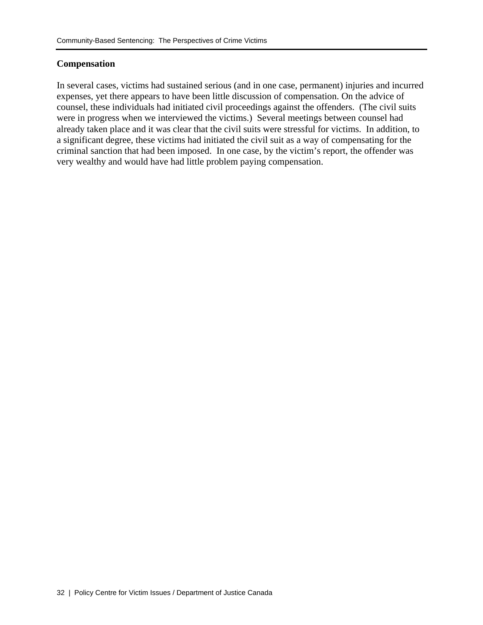#### **Compensation**

In several cases, victims had sustained serious (and in one case, permanent) injuries and incurred expenses, yet there appears to have been little discussion of compensation. On the advice of counsel, these individuals had initiated civil proceedings against the offenders. (The civil suits were in progress when we interviewed the victims.) Several meetings between counsel had already taken place and it was clear that the civil suits were stressful for victims. In addition, to a significant degree, these victims had initiated the civil suit as a way of compensating for the criminal sanction that had been imposed. In one case, by the victim's report, the offender was very wealthy and would have had little problem paying compensation.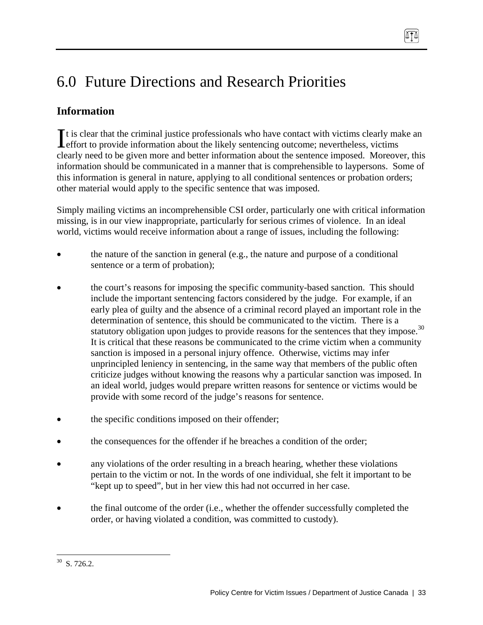# 6.0 Future Directions and Research Priorities

## **Information**

It is clear that the criminal justice professionals who have contact with victims clearly make an It is clear that the criminal justice professionals who have contact with victims clearly mater of effort to provide information about the likely sentencing outcome; nevertheless, victims clearly need to be given more and better information about the sentence imposed. Moreover, this information should be communicated in a manner that is comprehensible to laypersons. Some of this information is general in nature, applying to all conditional sentences or probation orders; other material would apply to the specific sentence that was imposed.

Simply mailing victims an incomprehensible CSI order, particularly one with critical information missing, is in our view inappropriate, particularly for serious crimes of violence. In an ideal world, victims would receive information about a range of issues, including the following:

- the nature of the sanction in general (e.g., the nature and purpose of a conditional sentence or a term of probation);
- the court's reasons for imposing the specific community-based sanction. This should include the important sentencing factors considered by the judge. For example, if an early plea of guilty and the absence of a criminal record played an important role in the determination of sentence, this should be communicated to the victim. There is a statutory obligation upon judges to provide reasons for the sentences that they impose.<sup>30</sup> It is critical that these reasons be communicated to the crime victim when a community sanction is imposed in a personal injury offence. Otherwise, victims may infer unprincipled leniency in sentencing, in the same way that members of the public often criticize judges without knowing the reasons why a particular sanction was imposed. In an ideal world, judges would prepare written reasons for sentence or victims would be provide with some record of the judge's reasons for sentence.
- the specific conditions imposed on their offender;
- the consequences for the offender if he breaches a condition of the order;
- any violations of the order resulting in a breach hearing, whether these violations pertain to the victim or not. In the words of one individual, she felt it important to be "kept up to speed", but in her view this had not occurred in her case.
- the final outcome of the order (i.e., whether the offender successfully completed the order, or having violated a condition, was committed to custody).

 $\overline{a}$  $30$  S. 726.2.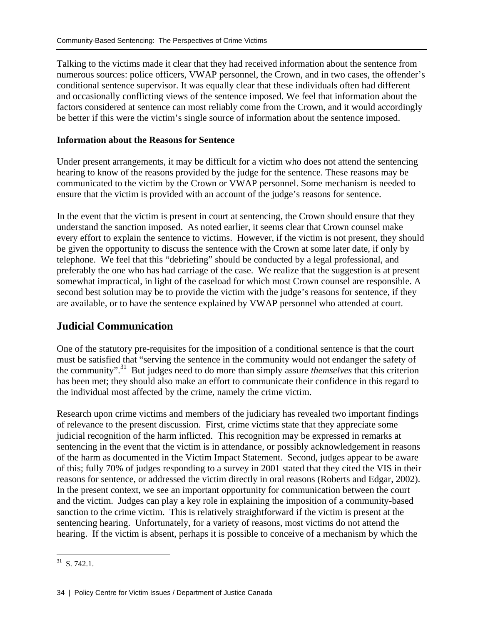Talking to the victims made it clear that they had received information about the sentence from numerous sources: police officers, VWAP personnel, the Crown, and in two cases, the offender's conditional sentence supervisor. It was equally clear that these individuals often had different and occasionally conflicting views of the sentence imposed. We feel that information about the factors considered at sentence can most reliably come from the Crown, and it would accordingly be better if this were the victim's single source of information about the sentence imposed.

#### **Information about the Reasons for Sentence**

Under present arrangements, it may be difficult for a victim who does not attend the sentencing hearing to know of the reasons provided by the judge for the sentence. These reasons may be communicated to the victim by the Crown or VWAP personnel. Some mechanism is needed to ensure that the victim is provided with an account of the judge's reasons for sentence.

In the event that the victim is present in court at sentencing, the Crown should ensure that they understand the sanction imposed. As noted earlier, it seems clear that Crown counsel make every effort to explain the sentence to victims. However, if the victim is not present, they should be given the opportunity to discuss the sentence with the Crown at some later date, if only by telephone. We feel that this "debriefing" should be conducted by a legal professional, and preferably the one who has had carriage of the case. We realize that the suggestion is at present somewhat impractical, in light of the caseload for which most Crown counsel are responsible. A second best solution may be to provide the victim with the judge's reasons for sentence, if they are available, or to have the sentence explained by VWAP personnel who attended at court.

### **Judicial Communication**

One of the statutory pre-requisites for the imposition of a conditional sentence is that the court must be satisfied that "serving the sentence in the community would not endanger the safety of the community".31 But judges need to do more than simply assure *themselves* that this criterion has been met; they should also make an effort to communicate their confidence in this regard to the individual most affected by the crime, namely the crime victim.

Research upon crime victims and members of the judiciary has revealed two important findings of relevance to the present discussion. First, crime victims state that they appreciate some judicial recognition of the harm inflicted. This recognition may be expressed in remarks at sentencing in the event that the victim is in attendance, or possibly acknowledgement in reasons of the harm as documented in the Victim Impact Statement. Second, judges appear to be aware of this; fully 70% of judges responding to a survey in 2001 stated that they cited the VIS in their reasons for sentence, or addressed the victim directly in oral reasons (Roberts and Edgar, 2002). In the present context, we see an important opportunity for communication between the court and the victim. Judges can play a key role in explaining the imposition of a community-based sanction to the crime victim. This is relatively straightforward if the victim is present at the sentencing hearing. Unfortunately, for a variety of reasons, most victims do not attend the hearing. If the victim is absent, perhaps it is possible to conceive of a mechanism by which the

 $31$  S. 742.1.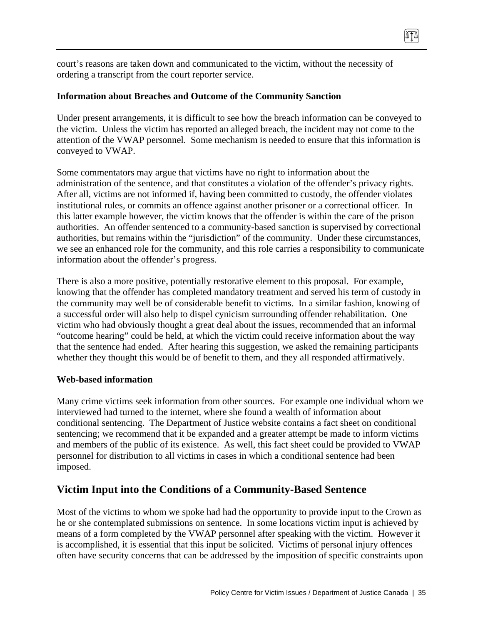court's reasons are taken down and communicated to the victim, without the necessity of ordering a transcript from the court reporter service.

#### **Information about Breaches and Outcome of the Community Sanction**

Under present arrangements, it is difficult to see how the breach information can be conveyed to the victim. Unless the victim has reported an alleged breach, the incident may not come to the attention of the VWAP personnel. Some mechanism is needed to ensure that this information is conveyed to VWAP.

874

Some commentators may argue that victims have no right to information about the administration of the sentence, and that constitutes a violation of the offender's privacy rights. After all, victims are not informed if, having been committed to custody, the offender violates institutional rules, or commits an offence against another prisoner or a correctional officer. In this latter example however, the victim knows that the offender is within the care of the prison authorities. An offender sentenced to a community-based sanction is supervised by correctional authorities, but remains within the "jurisdiction" of the community. Under these circumstances, we see an enhanced role for the community, and this role carries a responsibility to communicate information about the offender's progress.

There is also a more positive, potentially restorative element to this proposal. For example, knowing that the offender has completed mandatory treatment and served his term of custody in the community may well be of considerable benefit to victims. In a similar fashion, knowing of a successful order will also help to dispel cynicism surrounding offender rehabilitation. One victim who had obviously thought a great deal about the issues, recommended that an informal "outcome hearing" could be held, at which the victim could receive information about the way that the sentence had ended. After hearing this suggestion, we asked the remaining participants whether they thought this would be of benefit to them, and they all responded affirmatively.

#### **Web-based information**

Many crime victims seek information from other sources. For example one individual whom we interviewed had turned to the internet, where she found a wealth of information about conditional sentencing. The Department of Justice website contains a fact sheet on conditional sentencing; we recommend that it be expanded and a greater attempt be made to inform victims and members of the public of its existence. As well, this fact sheet could be provided to VWAP personnel for distribution to all victims in cases in which a conditional sentence had been imposed.

#### **Victim Input into the Conditions of a Community-Based Sentence**

Most of the victims to whom we spoke had had the opportunity to provide input to the Crown as he or she contemplated submissions on sentence. In some locations victim input is achieved by means of a form completed by the VWAP personnel after speaking with the victim. However it is accomplished, it is essential that this input be solicited. Victims of personal injury offences often have security concerns that can be addressed by the imposition of specific constraints upon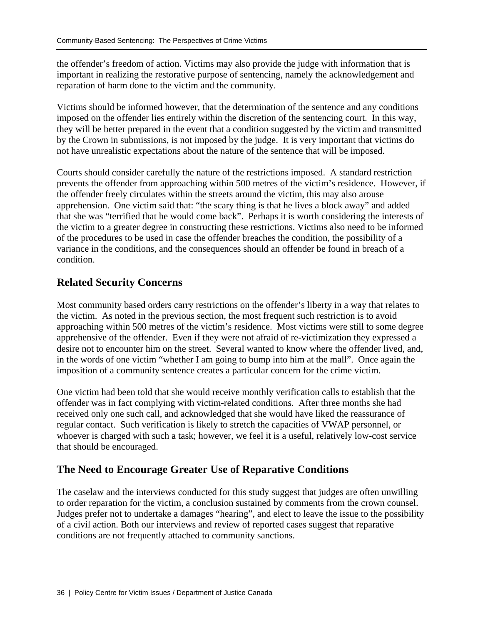the offender's freedom of action. Victims may also provide the judge with information that is important in realizing the restorative purpose of sentencing, namely the acknowledgement and reparation of harm done to the victim and the community.

Victims should be informed however, that the determination of the sentence and any conditions imposed on the offender lies entirely within the discretion of the sentencing court. In this way, they will be better prepared in the event that a condition suggested by the victim and transmitted by the Crown in submissions, is not imposed by the judge. It is very important that victims do not have unrealistic expectations about the nature of the sentence that will be imposed.

Courts should consider carefully the nature of the restrictions imposed. A standard restriction prevents the offender from approaching within 500 metres of the victim's residence. However, if the offender freely circulates within the streets around the victim, this may also arouse apprehension. One victim said that: "the scary thing is that he lives a block away" and added that she was "terrified that he would come back". Perhaps it is worth considering the interests of the victim to a greater degree in constructing these restrictions. Victims also need to be informed of the procedures to be used in case the offender breaches the condition, the possibility of a variance in the conditions, and the consequences should an offender be found in breach of a condition.

### **Related Security Concerns**

Most community based orders carry restrictions on the offender's liberty in a way that relates to the victim. As noted in the previous section, the most frequent such restriction is to avoid approaching within 500 metres of the victim's residence. Most victims were still to some degree apprehensive of the offender. Even if they were not afraid of re-victimization they expressed a desire not to encounter him on the street. Several wanted to know where the offender lived, and, in the words of one victim "whether I am going to bump into him at the mall". Once again the imposition of a community sentence creates a particular concern for the crime victim.

One victim had been told that she would receive monthly verification calls to establish that the offender was in fact complying with victim-related conditions. After three months she had received only one such call, and acknowledged that she would have liked the reassurance of regular contact. Such verification is likely to stretch the capacities of VWAP personnel, or whoever is charged with such a task; however, we feel it is a useful, relatively low-cost service that should be encouraged.

### **The Need to Encourage Greater Use of Reparative Conditions**

The caselaw and the interviews conducted for this study suggest that judges are often unwilling to order reparation for the victim, a conclusion sustained by comments from the crown counsel. Judges prefer not to undertake a damages "hearing", and elect to leave the issue to the possibility of a civil action. Both our interviews and review of reported cases suggest that reparative conditions are not frequently attached to community sanctions.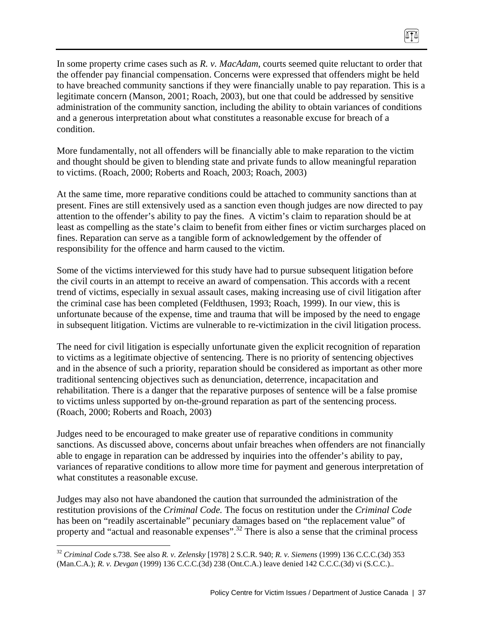In some property crime cases such as *R. v. MacAdam*, courts seemed quite reluctant to order that the offender pay financial compensation. Concerns were expressed that offenders might be held to have breached community sanctions if they were financially unable to pay reparation. This is a legitimate concern (Manson, 2001; Roach, 2003), but one that could be addressed by sensitive administration of the community sanction, including the ability to obtain variances of conditions and a generous interpretation about what constitutes a reasonable excuse for breach of a condition.

ITI

More fundamentally, not all offenders will be financially able to make reparation to the victim and thought should be given to blending state and private funds to allow meaningful reparation to victims. (Roach, 2000; Roberts and Roach, 2003; Roach, 2003)

At the same time, more reparative conditions could be attached to community sanctions than at present. Fines are still extensively used as a sanction even though judges are now directed to pay attention to the offender's ability to pay the fines. A victim's claim to reparation should be at least as compelling as the state's claim to benefit from either fines or victim surcharges placed on fines. Reparation can serve as a tangible form of acknowledgement by the offender of responsibility for the offence and harm caused to the victim.

Some of the victims interviewed for this study have had to pursue subsequent litigation before the civil courts in an attempt to receive an award of compensation. This accords with a recent trend of victims, especially in sexual assault cases, making increasing use of civil litigation after the criminal case has been completed (Feldthusen, 1993; Roach, 1999). In our view, this is unfortunate because of the expense, time and trauma that will be imposed by the need to engage in subsequent litigation. Victims are vulnerable to re-victimization in the civil litigation process.

The need for civil litigation is especially unfortunate given the explicit recognition of reparation to victims as a legitimate objective of sentencing. There is no priority of sentencing objectives and in the absence of such a priority, reparation should be considered as important as other more traditional sentencing objectives such as denunciation, deterrence, incapacitation and rehabilitation. There is a danger that the reparative purposes of sentence will be a false promise to victims unless supported by on-the-ground reparation as part of the sentencing process. (Roach, 2000; Roberts and Roach, 2003)

Judges need to be encouraged to make greater use of reparative conditions in community sanctions. As discussed above, concerns about unfair breaches when offenders are not financially able to engage in reparation can be addressed by inquiries into the offender's ability to pay, variances of reparative conditions to allow more time for payment and generous interpretation of what constitutes a reasonable excuse.

Judges may also not have abandoned the caution that surrounded the administration of the restitution provisions of the *Criminal Code.* The focus on restitution under the *Criminal Code* has been on "readily ascertainable" pecuniary damages based on "the replacement value" of property and "actual and reasonable expenses".32 There is also a sense that the criminal process

<sup>32</sup> *Criminal Code* s.738. See also *R. v. Zelensky* [1978] 2 S.C.R. 940; *R. v. Siemens* (1999) 136 C.C.C.(3d) 353 (Man.C.A.); *R. v. Devgan* (1999) 136 C.C.C.(3d) 238 (Ont.C.A.) leave denied 142 C.C.C.(3d) vi (S.C.C.)..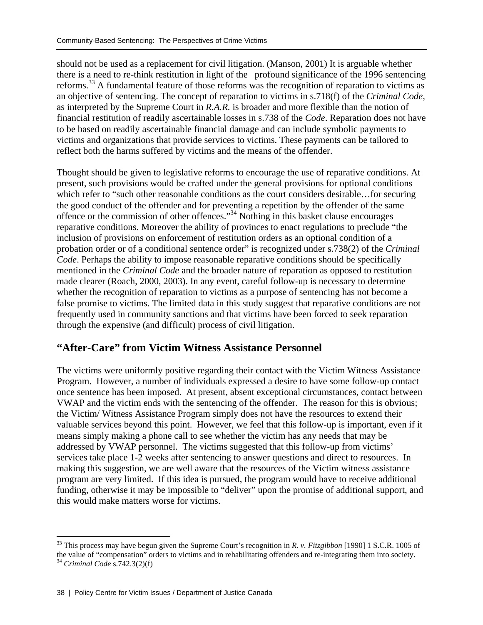should not be used as a replacement for civil litigation. (Manson, 2001) It is arguable whether there is a need to re-think restitution in light of the profound significance of the 1996 sentencing reforms.<sup>33</sup> A fundamental feature of those reforms was the recognition of reparation to victims as an objective of sentencing. The concept of reparation to victims in s.718(f) of the *Criminal Code,* as interpreted by the Supreme Court in *R.A.R.* is broader and more flexible than the notion of financial restitution of readily ascertainable losses in s.738 of the *Code*. Reparation does not have to be based on readily ascertainable financial damage and can include symbolic payments to victims and organizations that provide services to victims. These payments can be tailored to reflect both the harms suffered by victims and the means of the offender.

Thought should be given to legislative reforms to encourage the use of reparative conditions. At present, such provisions would be crafted under the general provisions for optional conditions which refer to "such other reasonable conditions as the court considers desirable...for securing the good conduct of the offender and for preventing a repetition by the offender of the same offence or the commission of other offences."34 Nothing in this basket clause encourages reparative conditions. Moreover the ability of provinces to enact regulations to preclude "the inclusion of provisions on enforcement of restitution orders as an optional condition of a probation order or of a conditional sentence order" is recognized under s.738(2) of the *Criminal Code*. Perhaps the ability to impose reasonable reparative conditions should be specifically mentioned in the *Criminal Code* and the broader nature of reparation as opposed to restitution made clearer (Roach, 2000, 2003). In any event, careful follow-up is necessary to determine whether the recognition of reparation to victims as a purpose of sentencing has not become a false promise to victims. The limited data in this study suggest that reparative conditions are not frequently used in community sanctions and that victims have been forced to seek reparation through the expensive (and difficult) process of civil litigation.

### **"After-Care" from Victim Witness Assistance Personnel**

The victims were uniformly positive regarding their contact with the Victim Witness Assistance Program. However, a number of individuals expressed a desire to have some follow-up contact once sentence has been imposed. At present, absent exceptional circumstances, contact between VWAP and the victim ends with the sentencing of the offender. The reason for this is obvious; the Victim/ Witness Assistance Program simply does not have the resources to extend their valuable services beyond this point. However, we feel that this follow-up is important, even if it means simply making a phone call to see whether the victim has any needs that may be addressed by VWAP personnel. The victims suggested that this follow-up from victims' services take place 1-2 weeks after sentencing to answer questions and direct to resources. In making this suggestion, we are well aware that the resources of the Victim witness assistance program are very limited. If this idea is pursued, the program would have to receive additional funding, otherwise it may be impossible to "deliver" upon the promise of additional support, and this would make matters worse for victims.

<sup>33</sup> This process may have begun given the Supreme Court's recognition in *R. v. Fitzgibbon* [1990] 1 S.C.R. 1005 of the value of "compensation" orders to victims and in rehabilitating offenders and re-integrating them into society. 34 *Criminal Code* s.742.3(2)(f)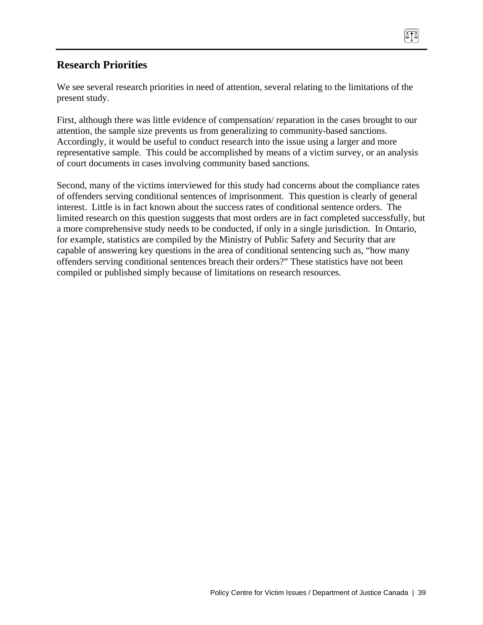### **Research Priorities**

We see several research priorities in need of attention, several relating to the limitations of the present study.

ATA

First, although there was little evidence of compensation/ reparation in the cases brought to our attention, the sample size prevents us from generalizing to community-based sanctions. Accordingly, it would be useful to conduct research into the issue using a larger and more representative sample. This could be accomplished by means of a victim survey, or an analysis of court documents in cases involving community based sanctions.

Second, many of the victims interviewed for this study had concerns about the compliance rates of offenders serving conditional sentences of imprisonment. This question is clearly of general interest. Little is in fact known about the success rates of conditional sentence orders. The limited research on this question suggests that most orders are in fact completed successfully, but a more comprehensive study needs to be conducted, if only in a single jurisdiction. In Ontario, for example, statistics are compiled by the Ministry of Public Safety and Security that are capable of answering key questions in the area of conditional sentencing such as, "how many offenders serving conditional sentences breach their orders?" These statistics have not been compiled or published simply because of limitations on research resources.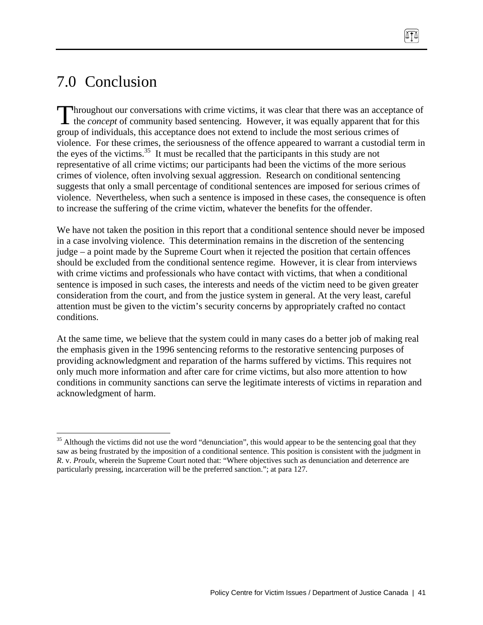# 7.0 Conclusion

 $\overline{a}$ 

hroughout our conversations with crime victims, it was clear that there was an acceptance of Throughout our conversations with crime victims, it was clear that there was an acceptance of the *concept* of community based sentencing. However, it was equally apparent that for this group of individuals, this acceptance does not extend to include the most serious crimes of violence. For these crimes, the seriousness of the offence appeared to warrant a custodial term in the eyes of the victims.<sup>35</sup> It must be recalled that the participants in this study are not representative of all crime victims; our participants had been the victims of the more serious crimes of violence, often involving sexual aggression. Research on conditional sentencing suggests that only a small percentage of conditional sentences are imposed for serious crimes of violence. Nevertheless, when such a sentence is imposed in these cases, the consequence is often to increase the suffering of the crime victim, whatever the benefits for the offender.

We have not taken the position in this report that a conditional sentence should never be imposed in a case involving violence. This determination remains in the discretion of the sentencing judge – a point made by the Supreme Court when it rejected the position that certain offences should be excluded from the conditional sentence regime. However, it is clear from interviews with crime victims and professionals who have contact with victims, that when a conditional sentence is imposed in such cases, the interests and needs of the victim need to be given greater consideration from the court, and from the justice system in general. At the very least, careful attention must be given to the victim's security concerns by appropriately crafted no contact conditions.

At the same time, we believe that the system could in many cases do a better job of making real the emphasis given in the 1996 sentencing reforms to the restorative sentencing purposes of providing acknowledgment and reparation of the harms suffered by victims. This requires not only much more information and after care for crime victims, but also more attention to how conditions in community sanctions can serve the legitimate interests of victims in reparation and acknowledgment of harm.

 $35$  Although the victims did not use the word "denunciation", this would appear to be the sentencing goal that they saw as being frustrated by the imposition of a conditional sentence. This position is consistent with the judgment in *R*. v. *Proulx,* wherein the Supreme Court noted that: "Where objectives such as denunciation and deterrence are particularly pressing, incarceration will be the preferred sanction."; at para 127.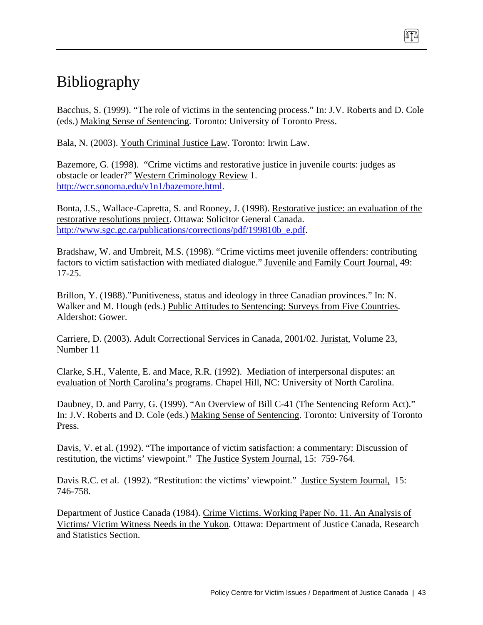# Bibliography

Bacchus, S. (1999). "The role of victims in the sentencing process." In: J.V. Roberts and D. Cole (eds.) Making Sense of Sentencing. Toronto: University of Toronto Press.

874

Bala, N. (2003). Youth Criminal Justice Law. Toronto: Irwin Law.

Bazemore, G. (1998). "Crime victims and restorative justice in juvenile courts: judges as obstacle or leader?" Western Criminology Review 1. http://wcr.sonoma.edu/v1n1/bazemore.html.

Bonta, J.S., Wallace-Capretta, S. and Rooney, J. (1998). Restorative justice: an evaluation of the restorative resolutions project. Ottawa: Solicitor General Canada. http://www.sgc.gc.ca/publications/corrections/pdf/199810b\_e.pdf.

Bradshaw, W. and Umbreit, M.S. (1998). "Crime victims meet juvenile offenders: contributing factors to victim satisfaction with mediated dialogue." Juvenile and Family Court Journal, 49: 17-25.

Brillon, Y. (1988)."Punitiveness, status and ideology in three Canadian provinces." In: N. Walker and M. Hough (eds.) Public Attitudes to Sentencing: Surveys from Five Countries. Aldershot: Gower.

Carriere, D. (2003). Adult Correctional Services in Canada, 2001/02. Juristat, Volume 23, Number 11

Clarke, S.H., Valente, E. and Mace, R.R. (1992). Mediation of interpersonal disputes: an evaluation of North Carolina's programs. Chapel Hill, NC: University of North Carolina.

Daubney, D. and Parry, G. (1999). "An Overview of Bill C-41 (The Sentencing Reform Act)." In: J.V. Roberts and D. Cole (eds.) Making Sense of Sentencing. Toronto: University of Toronto Press.

Davis, V. et al. (1992). "The importance of victim satisfaction: a commentary: Discussion of restitution, the victims' viewpoint." The Justice System Journal, 15: 759-764.

Davis R.C. et al. (1992). "Restitution: the victims' viewpoint." Justice System Journal, 15: 746-758.

Department of Justice Canada (1984). Crime Victims. Working Paper No. 11. An Analysis of Victims/ Victim Witness Needs in the Yukon. Ottawa: Department of Justice Canada, Research and Statistics Section.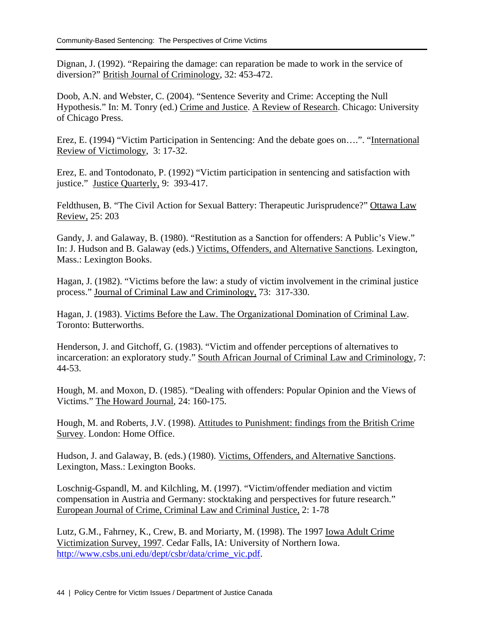Dignan, J. (1992). "Repairing the damage: can reparation be made to work in the service of diversion?" British Journal of Criminology, 32: 453-472.

Doob, A.N. and Webster, C. (2004). "Sentence Severity and Crime: Accepting the Null Hypothesis." In: M. Tonry (ed.) Crime and Justice. A Review of Research. Chicago: University of Chicago Press.

Erez, E. (1994) "Victim Participation in Sentencing: And the debate goes on….". "International Review of Victimology, 3: 17-32.

Erez, E. and Tontodonato, P. (1992) "Victim participation in sentencing and satisfaction with justice." Justice Quarterly, 9: 393-417.

Feldthusen, B. "The Civil Action for Sexual Battery: Therapeutic Jurisprudence?" Ottawa Law Review, 25: 203

Gandy, J. and Galaway, B. (1980). "Restitution as a Sanction for offenders: A Public's View." In: J. Hudson and B. Galaway (eds.) Victims, Offenders, and Alternative Sanctions. Lexington, Mass.: Lexington Books.

Hagan, J. (1982). "Victims before the law: a study of victim involvement in the criminal justice process." Journal of Criminal Law and Criminology, 73: 317-330.

Hagan, J. (1983). Victims Before the Law. The Organizational Domination of Criminal Law. Toronto: Butterworths.

Henderson, J. and Gitchoff, G. (1983). "Victim and offender perceptions of alternatives to incarceration: an exploratory study." South African Journal of Criminal Law and Criminology, 7: 44-53.

Hough, M. and Moxon, D. (1985). "Dealing with offenders: Popular Opinion and the Views of Victims." The Howard Journal, 24: 160-175.

Hough, M. and Roberts, J.V. (1998). Attitudes to Punishment: findings from the British Crime Survey. London: Home Office.

Hudson, J. and Galaway, B. (eds.) (1980). Victims, Offenders, and Alternative Sanctions. Lexington, Mass.: Lexington Books.

Loschnig-Gspandl, M. and Kilchling, M. (1997). "Victim/offender mediation and victim compensation in Austria and Germany: stocktaking and perspectives for future research." European Journal of Crime, Criminal Law and Criminal Justice, 2: 1-78

Lutz, G.M., Fahrney, K., Crew, B. and Moriarty, M. (1998). The 1997 Iowa Adult Crime Victimization Survey, 1997. Cedar Falls, IA: University of Northern Iowa. http://www.csbs.uni.edu/dept/csbr/data/crime\_vic.pdf.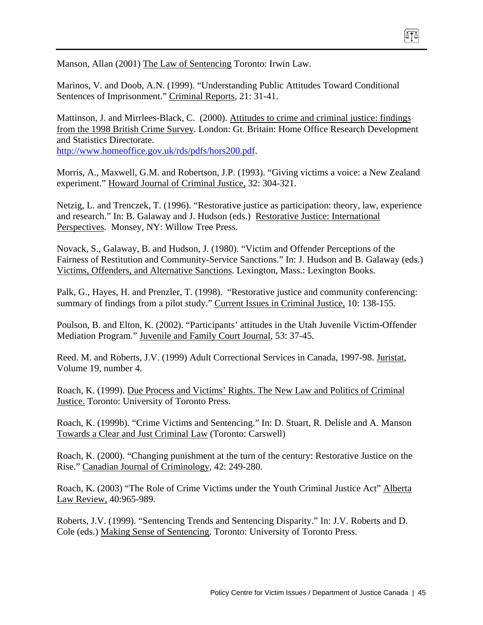Manson, Allan (2001) The Law of Sentencing Toronto: Irwin Law.

Marinos, V. and Doob, A.N. (1999). "Understanding Public Attitudes Toward Conditional Sentences of Imprisonment." Criminal Reports, 21: 31-41.

Mattinson, J. and Mirrlees-Black, C. (2000). Attitudes to crime and criminal justice: findings from the 1998 British Crime Survey. London: Gt. Britain: Home Office Research Development and Statistics Directorate.

874

http://www.homeoffice.gov.uk/rds/pdfs/hors200.pdf.

Morris, A., Maxwell, G.M. and Robertson, J.P. (1993). "Giving victims a voice: a New Zealand experiment." Howard Journal of Criminal Justice, 32: 304-321.

Netzig, L. and Trenczek, T. (1996). "Restorative justice as participation: theory, law, experience and research." In: B. Galaway and J. Hudson (eds.) Restorative Justice: International Perspectives. Monsey, NY: Willow Tree Press.

Novack, S., Galaway, B. and Hudson, J. (1980). "Victim and Offender Perceptions of the Fairness of Restitution and Community-Service Sanctions." In: J. Hudson and B. Galaway (eds.) Victims, Offenders, and Alternative Sanctions. Lexington, Mass.: Lexington Books.

Palk, G., Hayes, H. and Prenzler, T. (1998). "Restorative justice and community conferencing: summary of findings from a pilot study." Current Issues in Criminal Justice, 10: 138-155.

Poulson, B. and Elton, K. (2002). "Participants' attitudes in the Utah Juvenile Victim-Offender Mediation Program." Juvenile and Family Court Journal, 53: 37-45.

Reed. M. and Roberts, J.V. (1999) Adult Correctional Services in Canada, 1997-98. Juristat, Volume 19, number 4.

Roach, K. (1999). Due Process and Victims' Rights. The New Law and Politics of Criminal Justice. Toronto: University of Toronto Press.

Roach, K. (1999b). "Crime Victims and Sentencing." In: D. Stuart, R. Delisle and A. Manson Towards a Clear and Just Criminal Law (Toronto: Carswell)

Roach, K. (2000). "Changing punishment at the turn of the century: Restorative Justice on the Rise." Canadian Journal of Criminology, 42: 249-280.

Roach, K. (2003) "The Role of Crime Victims under the Youth Criminal Justice Act" Alberta Law Review, 40:965-989.

Roberts, J.V. (1999). "Sentencing Trends and Sentencing Disparity." In: J.V. Roberts and D. Cole (eds.) Making Sense of Sentencing. Toronto: University of Toronto Press.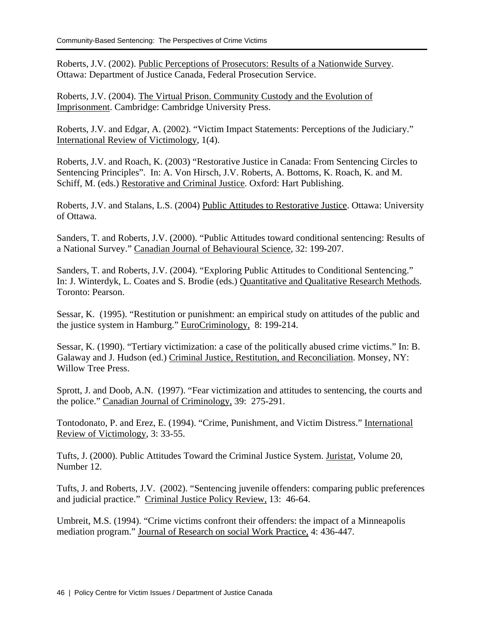Roberts, J.V. (2002). Public Perceptions of Prosecutors: Results of a Nationwide Survey. Ottawa: Department of Justice Canada, Federal Prosecution Service.

Roberts, J.V. (2004). The Virtual Prison. Community Custody and the Evolution of Imprisonment. Cambridge: Cambridge University Press.

Roberts, J.V. and Edgar, A. (2002). "Victim Impact Statements: Perceptions of the Judiciary." International Review of Victimology, 1(4).

Roberts, J.V. and Roach, K. (2003) "Restorative Justice in Canada: From Sentencing Circles to Sentencing Principles". In: A. Von Hirsch, J.V. Roberts, A. Bottoms, K. Roach, K. and M. Schiff, M. (eds.) Restorative and Criminal Justice. Oxford: Hart Publishing.

Roberts, J.V. and Stalans, L.S. (2004) Public Attitudes to Restorative Justice. Ottawa: University of Ottawa.

Sanders, T. and Roberts, J.V. (2000). "Public Attitudes toward conditional sentencing: Results of a National Survey." Canadian Journal of Behavioural Science, 32: 199-207.

Sanders, T. and Roberts, J.V. (2004). "Exploring Public Attitudes to Conditional Sentencing." In: J. Winterdyk, L. Coates and S. Brodie (eds.) Quantitative and Qualitative Research Methods. Toronto: Pearson.

Sessar, K. (1995). "Restitution or punishment: an empirical study on attitudes of the public and the justice system in Hamburg." EuroCriminology, 8: 199-214.

Sessar, K. (1990). "Tertiary victimization: a case of the politically abused crime victims." In: B. Galaway and J. Hudson (ed.) Criminal Justice, Restitution, and Reconciliation. Monsey, NY: Willow Tree Press.

Sprott, J. and Doob, A.N. (1997). "Fear victimization and attitudes to sentencing, the courts and the police." Canadian Journal of Criminology, 39: 275-291.

Tontodonato, P. and Erez, E. (1994). "Crime, Punishment, and Victim Distress." International Review of Victimology, 3: 33-55.

Tufts, J. (2000). Public Attitudes Toward the Criminal Justice System. Juristat, Volume 20, Number 12.

Tufts, J. and Roberts, J.V. (2002). "Sentencing juvenile offenders: comparing public preferences and judicial practice." Criminal Justice Policy Review, 13: 46-64.

Umbreit, M.S. (1994). "Crime victims confront their offenders: the impact of a Minneapolis mediation program." Journal of Research on social Work Practice, 4: 436-447.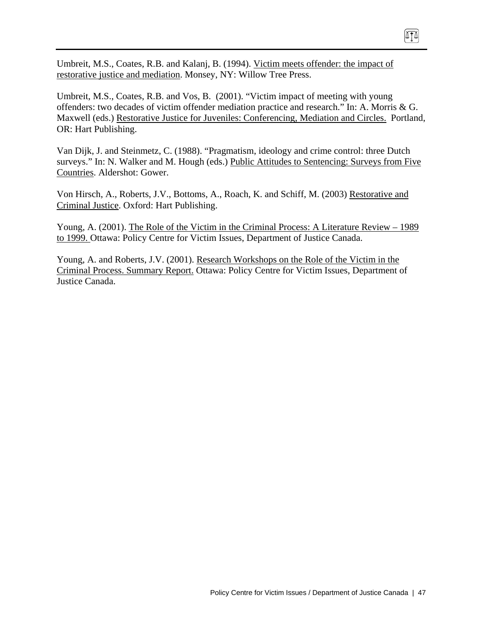Umbreit, M.S., Coates, R.B. and Kalanj, B. (1994). Victim meets offender: the impact of restorative justice and mediation. Monsey, NY: Willow Tree Press.

Umbreit, M.S., Coates, R.B. and Vos, B. (2001). "Victim impact of meeting with young offenders: two decades of victim offender mediation practice and research." In: A. Morris & G. Maxwell (eds.) Restorative Justice for Juveniles: Conferencing, Mediation and Circles. Portland, OR: Hart Publishing.

 $\sqrt{10}$ 

Van Dijk, J. and Steinmetz, C. (1988). "Pragmatism, ideology and crime control: three Dutch surveys." In: N. Walker and M. Hough (eds.) Public Attitudes to Sentencing: Surveys from Five Countries. Aldershot: Gower.

Von Hirsch, A., Roberts, J.V., Bottoms, A., Roach, K. and Schiff, M. (2003) Restorative and Criminal Justice. Oxford: Hart Publishing.

Young, A. (2001). The Role of the Victim in the Criminal Process: A Literature Review – 1989 to 1999. Ottawa: Policy Centre for Victim Issues, Department of Justice Canada.

Young, A. and Roberts, J.V. (2001). Research Workshops on the Role of the Victim in the Criminal Process. Summary Report. Ottawa: Policy Centre for Victim Issues, Department of Justice Canada.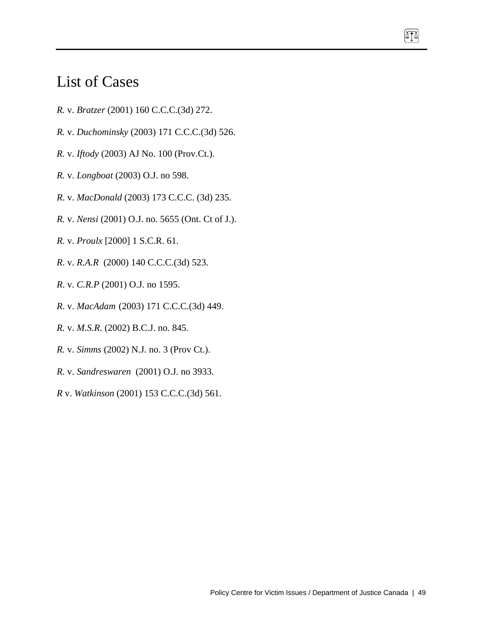# List of Cases

- *R.* v. *Bratzer* (2001) 160 C.C.C.(3d) 272.
- *R.* v. *Duchominsky* (2003) 171 C.C.C.(3d) 526.
- *R.* v. *Iftody* (2003) AJ No. 100 (Prov.Ct.).
- *R.* v. *Longboat* (2003) O.J. no 598.
- *R*. v. *MacDonald* (2003) 173 C.C.C. (3d) 235.
- *R.* v. *Nensi* (2001) O.J. no. 5655 (Ont. Ct of J.).
- *R*. v. *Proulx* [2000] 1 S.C.R. 61.
- *R*. v. *R.A.R* (2000) 140 C.C.C.(3d) 523.
- *R*. v. *C.R.P* (2001) O.J. no 1595.
- *R*. v. *MacAdam* (2003) 171 C.C.C.(3d) 449.
- *R.* v. *M.S.R*. (2002) B.C.J. no. 845.
- *R.* v. *Simms* (2002) N.J. no. 3 (Prov Ct.).
- *R*. v. *Sandreswaren* (2001) O.J. no 3933.
- *R* v. *Watkinson* (2001) 153 C.C.C.(3d) 561.

 $\sqrt{10}$